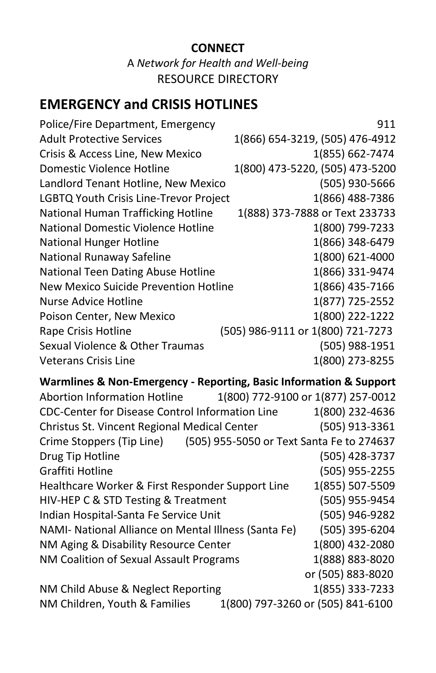## **CONNECT** A *Network for Health and Well-being* RESOURCE DIRECTORY

## **EMERGENCY and CRISIS HOTLINES**

| Police/Fire Department, Emergency      | 911                               |
|----------------------------------------|-----------------------------------|
| <b>Adult Protective Services</b>       | 1(866) 654-3219, (505) 476-4912   |
| Crisis & Access Line, New Mexico       | 1(855) 662-7474                   |
| Domestic Violence Hotline              | 1(800) 473-5220, (505) 473-5200   |
| Landlord Tenant Hotline, New Mexico    | (505) 930-5666                    |
| LGBTQ Youth Crisis Line-Trevor Project | 1(866) 488-7386                   |
| National Human Trafficking Hotline     | 1(888) 373-7888 or Text 233733    |
| National Domestic Violence Hotline     | 1(800) 799-7233                   |
| <b>National Hunger Hotline</b>         | 1(866) 348-6479                   |
| National Runaway Safeline              | 1(800) 621-4000                   |
| National Teen Dating Abuse Hotline     | 1(866) 331-9474                   |
| New Mexico Suicide Prevention Hotline  | 1(866) 435-7166                   |
| Nurse Advice Hotline                   | 1(877) 725-2552                   |
| Poison Center, New Mexico              | 1(800) 222-1222                   |
| Rape Crisis Hotline                    | (505) 986-9111 or 1(800) 721-7273 |
| Sexual Violence & Other Traumas        | (505) 988-1951                    |
| <b>Veterans Crisis Line</b>            | 1(800) 273-8255                   |
|                                        |                                   |

## **Warmlines & Non-Emergency - Reporting, Basic Information & Support**

| <b>Abortion Information Hotline</b>                                 | 1(800) 772-9100 or 1(877) 257-0012 |                   |  |
|---------------------------------------------------------------------|------------------------------------|-------------------|--|
| <b>CDC-Center for Disease Control Information Line</b>              |                                    | 1(800) 232-4636   |  |
| Christus St. Vincent Regional Medical Center                        |                                    | (505) 913-3361    |  |
| Crime Stoppers (Tip Line) (505) 955-5050 or Text Santa Fe to 274637 |                                    |                   |  |
| Drug Tip Hotline                                                    |                                    | (505) 428-3737    |  |
| Graffiti Hotline                                                    |                                    | (505) 955-2255    |  |
| Healthcare Worker & First Responder Support Line                    |                                    | 1(855) 507-5509   |  |
| HIV-HEP C & STD Testing & Treatment                                 |                                    | (505) 955-9454    |  |
| Indian Hospital-Santa Fe Service Unit                               |                                    | (505) 946-9282    |  |
| NAMI- National Alliance on Mental Illness (Santa Fe)                |                                    | (505) 395-6204    |  |
| NM Aging & Disability Resource Center                               |                                    | 1(800) 432-2080   |  |
| NM Coalition of Sexual Assault Programs                             |                                    | 1(888) 883-8020   |  |
|                                                                     |                                    | or (505) 883-8020 |  |
| NM Child Abuse & Neglect Reporting                                  |                                    | 1(855) 333-7233   |  |
| NM Children, Youth & Families                                       | 1(800) 797-3260 or (505) 841-6100  |                   |  |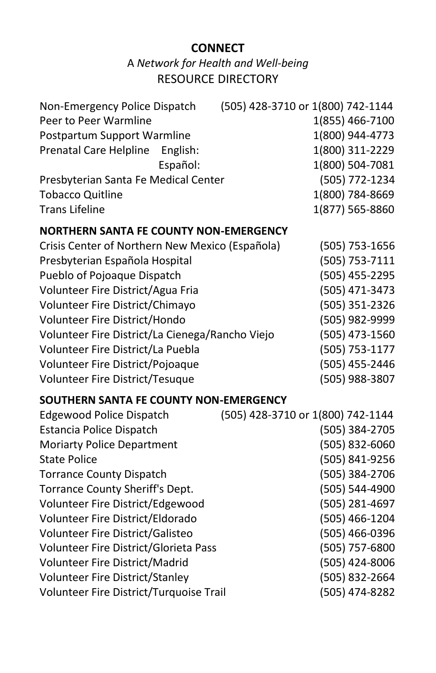## **CONNECT**

A *Network for Health and Well-being* RESOURCE DIRECTORY

| Non-Emergency Police Dispatch        | (505) 428-3710 or 1(800) 742-1144 |
|--------------------------------------|-----------------------------------|
| Peer to Peer Warmline                | 1(855) 466-7100                   |
| Postpartum Support Warmline          | 1(800) 944-4773                   |
| Prenatal Care Helpline English:      | 1(800) 311-2229                   |
| Español:                             | 1(800) 504-7081                   |
| Presbyterian Santa Fe Medical Center | (505) 772-1234                    |
| <b>Tobacco Quitline</b>              | 1(800) 784-8669                   |
| <b>Trans Lifeline</b>                | 1(877) 565-8860                   |

## **NORTHERN SANTA FE COUNTY NON-EMERGENCY**

| Crisis Center of Northern New Mexico (Española) | (505) 753-1656 |
|-------------------------------------------------|----------------|
| Presbyterian Española Hospital                  | (505) 753-7111 |
| Pueblo of Pojoaque Dispatch                     | (505) 455-2295 |
| Volunteer Fire District/Agua Fria               | (505) 471-3473 |
| Volunteer Fire District/Chimayo                 | (505) 351-2326 |
| Volunteer Fire District/Hondo                   | (505) 982-9999 |
| Volunteer Fire District/La Cienega/Rancho Viejo | (505) 473-1560 |
| Volunteer Fire District/La Puebla               | (505) 753-1177 |
| Volunteer Fire District/Pojoaque                | (505) 455-2446 |
| Volunteer Fire District/Tesuque                 | (505) 988-3807 |
|                                                 |                |

## **SOUTHERN SANTA FE COUNTY NON-EMERGENCY**

| Edgewood Police Dispatch                | (505) 428-3710 or 1(800) 742-1144 |
|-----------------------------------------|-----------------------------------|
| Estancia Police Dispatch                | (505) 384-2705                    |
| <b>Moriarty Police Department</b>       | (505) 832-6060                    |
| <b>State Police</b>                     | (505) 841-9256                    |
| <b>Torrance County Dispatch</b>         | (505) 384-2706                    |
| Torrance County Sheriff's Dept.         | (505) 544-4900                    |
| Volunteer Fire District/Edgewood        | (505) 281-4697                    |
| Volunteer Fire District/Eldorado        | (505) 466-1204                    |
| Volunteer Fire District/Galisteo        | (505) 466-0396                    |
| Volunteer Fire District/Glorieta Pass   | (505) 757-6800                    |
| Volunteer Fire District/Madrid          | (505) 424-8006                    |
| <b>Volunteer Fire District/Stanley</b>  | (505) 832-2664                    |
| Volunteer Fire District/Turquoise Trail | (505) 474-8282                    |
|                                         |                                   |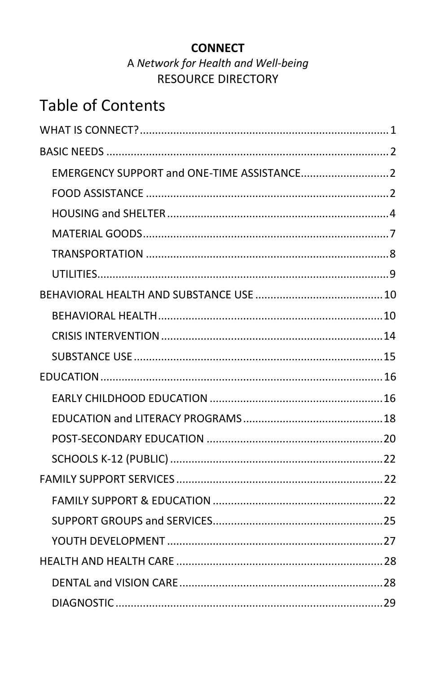## **CONNECT**

## A Network for Health and Well-being **RESOURCE DIRECTORY**

# **Table of Contents**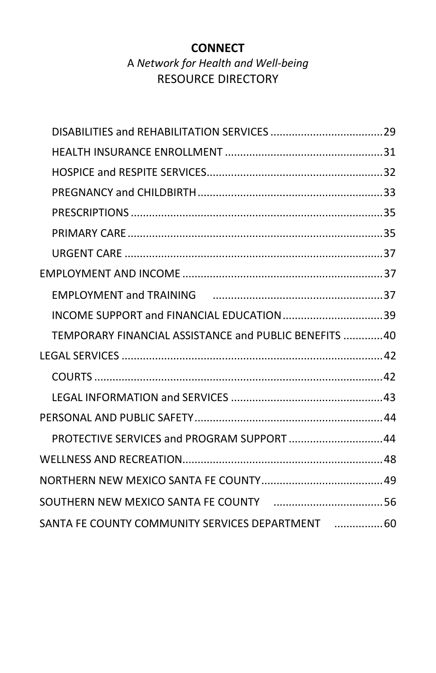## **CONNECT** A *Network for Health and Well-being* RESOURCE DIRECTORY

| TEMPORARY FINANCIAL ASSISTANCE and PUBLIC BENEFITS  40 |  |
|--------------------------------------------------------|--|
|                                                        |  |
|                                                        |  |
|                                                        |  |
|                                                        |  |
| PROTECTIVE SERVICES and PROGRAM SUPPORT 44             |  |
|                                                        |  |
|                                                        |  |
|                                                        |  |
|                                                        |  |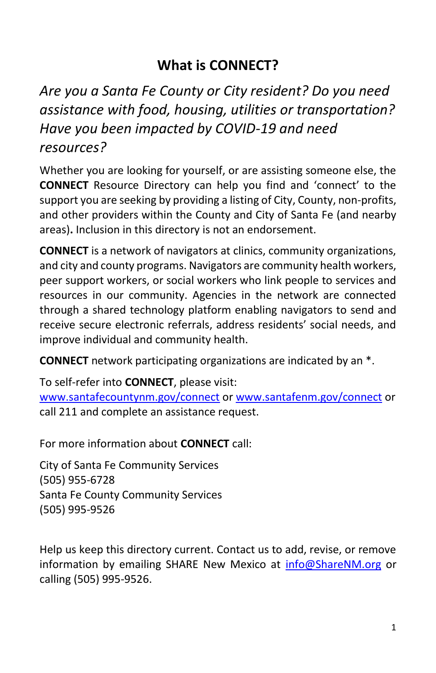## **What is CONNECT?**

## <span id="page-4-0"></span>*Are you a Santa Fe County or City resident? Do you need assistance with food, housing, utilities or transportation? Have you been impacted by COVID-19 and need resources?*

Whether you are looking for yourself, or are assisting someone else, the **CONNECT** Resource Directory can help you find and 'connect' to the support you are seeking by providing a listing of City, County, non-profits, and other providers within the County and City of Santa Fe (and nearby areas)**.** Inclusion in this directory is not an endorsement.

**CONNECT** is a network of navigators at clinics, community organizations, and city and county programs. Navigators are community health workers, peer support workers, or social workers who link people to services and resources in our community. Agencies in the network are connected through a shared technology platform enabling navigators to send and receive secure electronic referrals, address residents' social needs, and improve individual and community health.

**CONNECT** network participating organizations are indicated by an \*.

To self-refer into **CONNECT**, please visit:

[www.santafecountynm.gov/connect](http://www.santafecountynm.gov/connect) or [www.santafenm.gov/connect](http://www.santafenm.gov/connect) or call 211 and complete an assistance request.

For more information about **CONNECT** call:

City of Santa Fe Community Services (505) 955-6728 Santa Fe County Community Services (505) 995-9526

Help us keep this directory current. Contact us to add, revise, or remove information by emailing SHARE New Mexico at [info@ShareNM.org](mailto:info@ShareNM.org) or calling (505) 995-9526.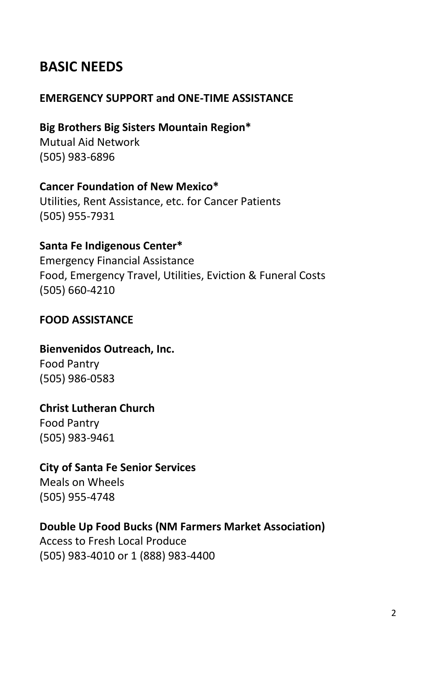## <span id="page-5-0"></span>**BASIC NEEDS**

## <span id="page-5-1"></span>**EMERGENCY SUPPORT and ONE-TIME ASSISTANCE**

## **Big Brothers Big Sisters Mountain Region\***

Mutual Aid Network (505) 983-6896

## **Cancer Foundation of New Mexico\***

Utilities, Rent Assistance, etc. for Cancer Patients (505) 955-7931

## **Santa Fe Indigenous Center\***

Emergency Financial Assistance Food, Emergency Travel, Utilities, Eviction & Funeral Costs (505) 660-4210

## <span id="page-5-2"></span>**FOOD ASSISTANCE**

## **Bienvenidos Outreach, Inc.**

Food Pantry (505) 986-0583

## **Christ Lutheran Church**

Food Pantry (505) 983-9461

## **City of Santa Fe Senior Services**

Meals on Wheels (505) 955-4748

## **Double Up Food Bucks (NM Farmers Market Association)**

Access to Fresh Local Produce (505) 983-4010 or 1 (888) 983-4400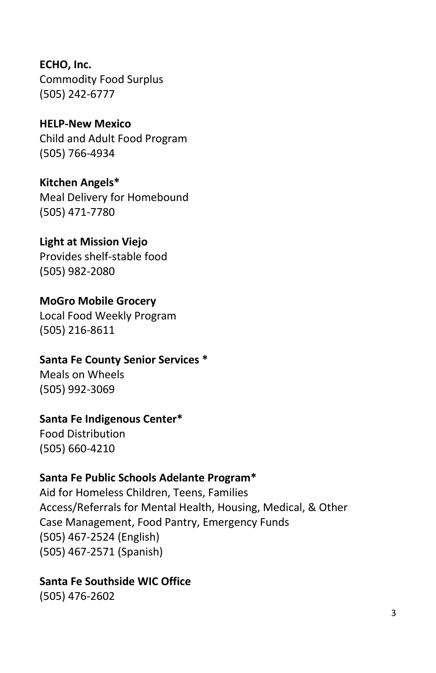**ECHO, Inc.** Commodity Food Surplus (505) 242-6777

**HELP-New Mexico** Child and Adult Food Program (505) 766-4934

**Kitchen Angels\*** Meal Delivery for Homebound (505) 471-7780

**Light at Mission Viejo** Provides shelf-stable food (505) 982-2080

**MoGro Mobile Grocery** Local Food Weekly Program (505) 216-8611

**Santa Fe County Senior Services \*** Meals on Wheels (505) 992-3069

**Santa Fe Indigenous Center\***

Food Distribution (505) 660-4210

## **Santa Fe Public Schools Adelante Program\***

Aid for Homeless Children, Teens, Families Access/Referrals for Mental Health, Housing, Medical, & Other Case Management, Food Pantry, Emergency Funds (505) 467-2524 (English) (505) 467-2571 (Spanish)

**Santa Fe Southside WIC Office**

(505) 476-2602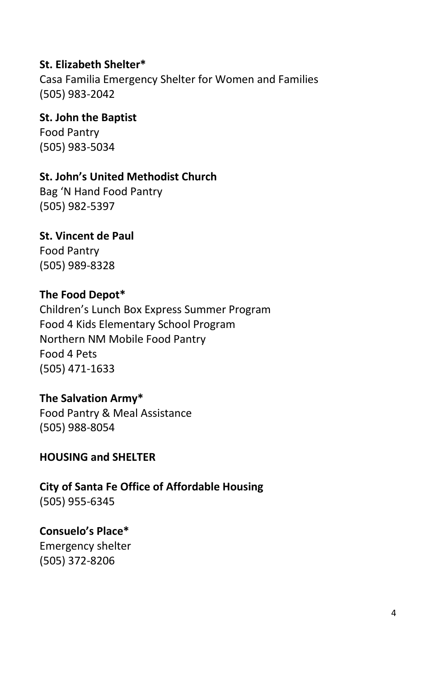## **St. Elizabeth Shelter\***

Casa Familia Emergency Shelter for Women and Families (505) 983-2042

## **St. John the Baptist**

Food Pantry (505) 983-5034

## **St. John's United Methodist Church**

Bag 'N Hand Food Pantry (505) 982-5397

#### **St. Vincent de Paul**

Food Pantry (505) 989-8328

## **The Food Depot\***

Children's Lunch Box Express Summer Program Food 4 Kids Elementary School Program Northern NM Mobile Food Pantry Food 4 Pets (505) 471-1633

## **The Salvation Army\***

Food Pantry & Meal Assistance (505) 988-8054

## <span id="page-7-0"></span>**HOUSING and SHELTER**

**City of Santa Fe Office of Affordable Housing** (505) 955-6345

## **Consuelo's Place\***

Emergency shelter (505) 372-8206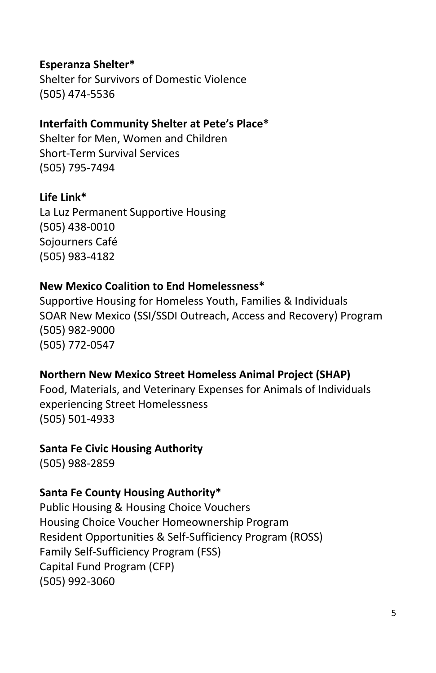## **Esperanza Shelter\***

Shelter for Survivors of Domestic Violence (505) 474-5536

## **Interfaith Community Shelter at Pete's Place\***

Shelter for Men, Women and Children Short-Term Survival Services (505) 795-7494

#### **Life Link\***

La Luz Permanent Supportive Housing (505) 438-0010 Sojourners Café (505) 983-4182

## **New Mexico Coalition to End Homelessness\***

Supportive Housing for Homeless Youth, Families & Individuals SOAR New Mexico (SSI/SSDI Outreach, Access and Recovery) Program (505) 982-9000 (505) 772-0547

## **Northern New Mexico Street Homeless Animal Project (SHAP)**

Food, Materials, and Veterinary Expenses for Animals of Individuals experiencing Street Homelessness (505) 501-4933

#### **Santa Fe Civic Housing Authority**

(505) 988-2859

#### **Santa Fe County Housing Authority\***

Public Housing & Housing Choice Vouchers Housing Choice Voucher Homeownership Program Resident Opportunities & Self-Sufficiency Program (ROSS) Family Self-Sufficiency Program (FSS) Capital Fund Program (CFP) (505) 992-3060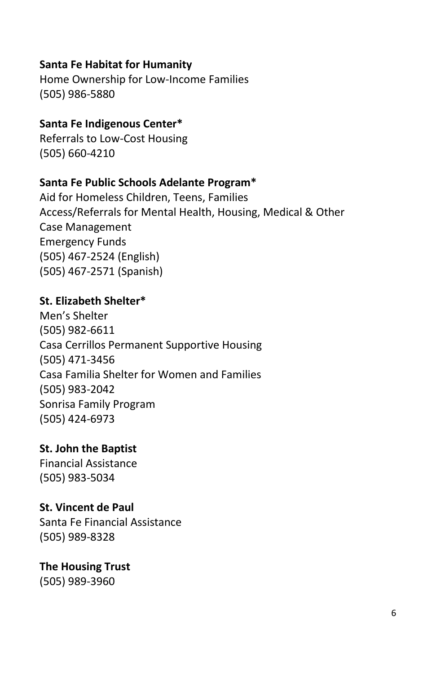## **Santa Fe Habitat for Humanity**

Home Ownership for Low-Income Families (505) 986-5880

#### **Santa Fe Indigenous Center\***

Referrals to Low-Cost Housing (505) 660-4210

## **Santa Fe Public Schools Adelante Program\***

Aid for Homeless Children, Teens, Families Access/Referrals for Mental Health, Housing, Medical & Other Case Management Emergency Funds (505) 467-2524 (English) (505) 467-2571 (Spanish)

#### **St. Elizabeth Shelter\***

Men's Shelter (505) 982-6611 Casa Cerrillos Permanent Supportive Housing (505) 471-3456 Casa Familia Shelter for Women and Families (505) 983-2042 Sonrisa Family Program (505) 424-6973

**St. John the Baptist** Financial Assistance (505) 983-5034

## **St. Vincent de Paul**

Santa Fe Financial Assistance (505) 989-8328

**The Housing Trust** (505) 989-3960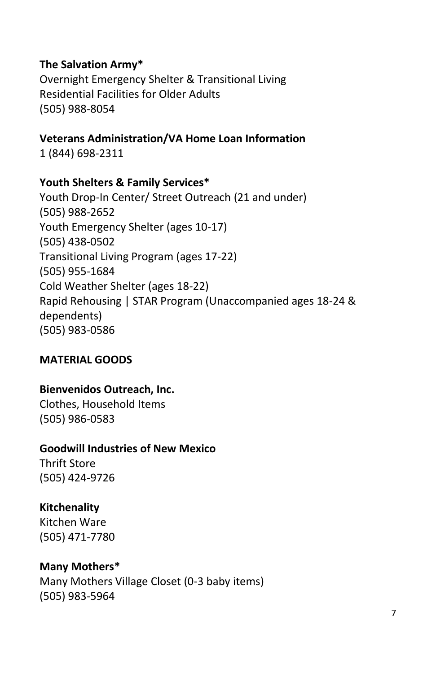## **The Salvation Army\***

Overnight Emergency Shelter & Transitional Living Residential Facilities for Older Adults (505) 988-8054

**Veterans Administration/VA Home Loan Information**  1 (844) 698-2311

#### **Youth Shelters & Family Services\***

Youth Drop-In Center/ Street Outreach (21 and under) (505) 988-2652 Youth Emergency Shelter (ages 10-17) (505) 438-0502 Transitional Living Program (ages 17-22) (505) 955-1684 Cold Weather Shelter (ages 18-22) Rapid Rehousing | STAR Program (Unaccompanied ages 18-24 & dependents) (505) 983-0586

## <span id="page-10-0"></span>**MATERIAL GOODS**

#### **Bienvenidos Outreach, Inc.**

Clothes, Household Items (505) 986-0583

#### **Goodwill Industries of New Mexico**

Thrift Store (505) 424-9726

## **Kitchenality**

Kitchen Ware (505) 471-7780

#### **Many Mothers\***

Many Mothers Village Closet (0-3 baby items) (505) 983-5964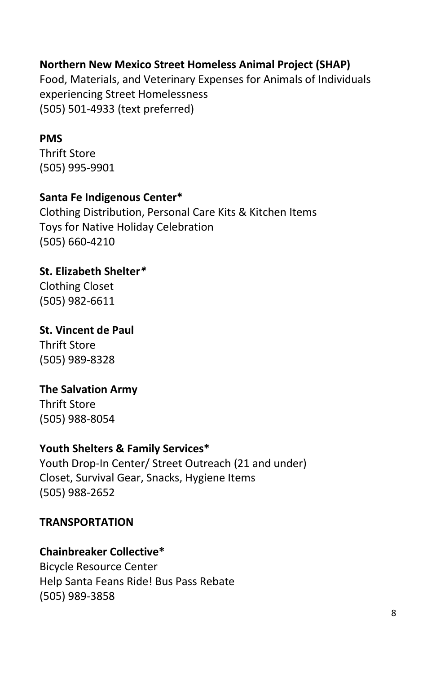## **Northern New Mexico Street Homeless Animal Project (SHAP)**

Food, Materials, and Veterinary Expenses for Animals of Individuals experiencing Street Homelessness (505) 501-4933 (text preferred)

#### **PMS**

Thrift Store (505) 995-9901

#### **Santa Fe Indigenous Center\***

Clothing Distribution, Personal Care Kits & Kitchen Items Toys for Native Holiday Celebration (505) 660-4210

**St. Elizabeth Shelter***\** Clothing Closet

#### **St. Vincent de Paul**

Thrift Store (505) 989-8328

(505) 982-6611

## **The Salvation Army**

Thrift Store (505) 988-8054

#### **Youth Shelters & Family Services\***

Youth Drop-In Center/ Street Outreach (21 and under) Closet, Survival Gear, Snacks, Hygiene Items (505) 988-2652

#### <span id="page-11-0"></span>**TRANSPORTATION**

#### **Chainbreaker Collective\***

Bicycle Resource Center Help Santa Feans Ride! Bus Pass Rebate (505) 989-3858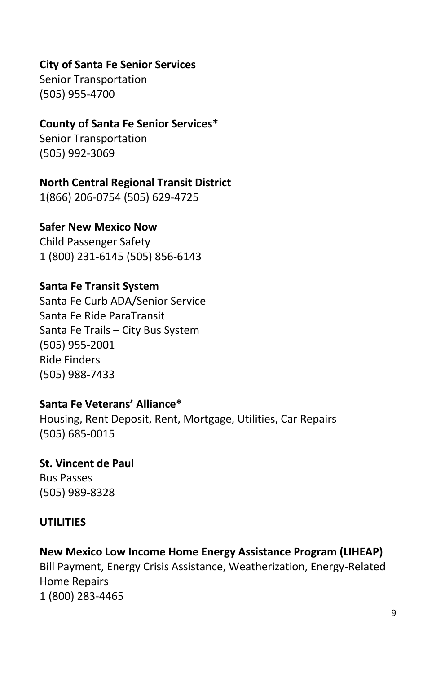## **City of Santa Fe Senior Services**

Senior Transportation (505) 955-4700

## **County of Santa Fe Senior Services\***

Senior Transportation (505) 992-3069

#### **North Central Regional Transit District**

1(866) 206-0754 (505) 629-4725

#### **Safer New Mexico Now**

Child Passenger Safety 1 (800) 231-6145 (505) 856-6143

#### **Santa Fe Transit System**

Santa Fe Curb ADA/Senior Service Santa Fe Ride ParaTransit Santa Fe Trails – City Bus System (505) 955-2001 Ride Finders (505) 988-7433

## **Santa Fe Veterans' Alliance\***

Housing, Rent Deposit, Rent, Mortgage, Utilities, Car Repairs (505) 685-0015

## **St. Vincent de Paul**

Bus Passes (505) 989-8328

## <span id="page-12-0"></span>**UTILITIES**

## **New Mexico Low Income Home Energy Assistance Program (LIHEAP)**

Bill Payment, Energy Crisis Assistance, Weatherization, Energy-Related Home Repairs 1 (800) 283-4465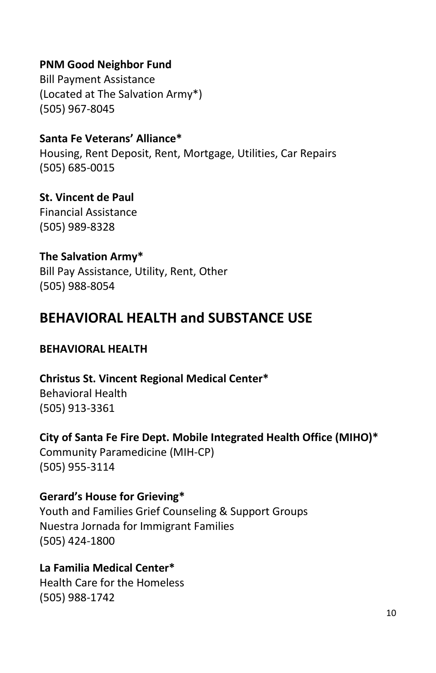## **PNM Good Neighbor Fund**

Bill Payment Assistance (Located at The Salvation Army\*) (505) 967-8045

## **Santa Fe Veterans' Alliance\***

Housing, Rent Deposit, Rent, Mortgage, Utilities, Car Repairs (505) 685-0015

#### **St. Vincent de Paul** Financial Assistance

(505) 989-8328

## **The Salvation Army\***

Bill Pay Assistance, Utility, Rent, Other (505) 988-8054

## <span id="page-13-0"></span>**BEHAVIORAL HEALTH and SUBSTANCE USE**

## <span id="page-13-1"></span>**BEHAVIORAL HEALTH**

**Christus St. Vincent Regional Medical Center\*** Behavioral Health (505) 913-3361

## **City of Santa Fe Fire Dept. Mobile Integrated Health Office (MIHO)\*** Community Paramedicine (MIH-CP) (505) 955-3114

## **Gerard's House for Grieving\***

Youth and Families Grief Counseling & Support Groups Nuestra Jornada for Immigrant Families (505) 424-1800

## **La Familia Medical Center\***

Health Care for the Homeless (505) 988-1742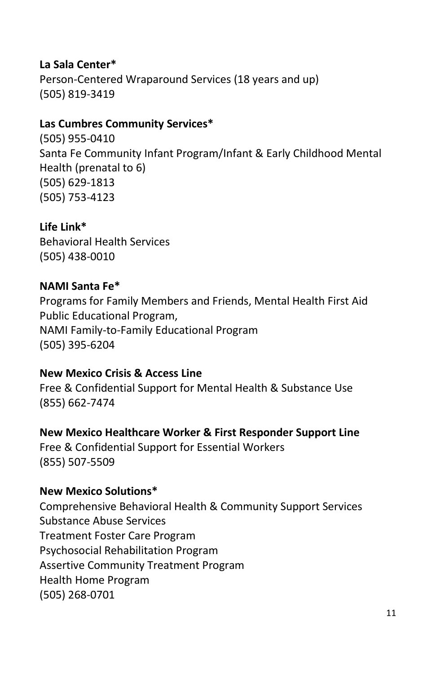## **La Sala Center\***

Person-Centered Wraparound Services (18 years and up) (505) 819-3419

#### **Las Cumbres Community Services\***

(505) 955-0410 Santa Fe Community Infant Program/Infant & Early Childhood Mental Health (prenatal to 6) (505) 629-1813 (505) 753-4123

**Life Link\*** Behavioral Health Services

(505) 438-0010

## **NAMI Santa Fe\***

Programs for Family Members and Friends, Mental Health First Aid Public Educational Program, NAMI Family-to-Family Educational Program (505) 395-6204

**New Mexico Crisis & Access Line** Free & Confidential Support for Mental Health & Substance Use (855) 662-7474

**New Mexico Healthcare Worker & First Responder Support Line**  Free & Confidential Support for Essential Workers (855) 507-5509

#### **New Mexico Solutions\***

Comprehensive Behavioral Health & Community Support Services Substance Abuse Services Treatment Foster Care Program Psychosocial Rehabilitation Program Assertive Community Treatment Program Health Home Program (505) 268-0701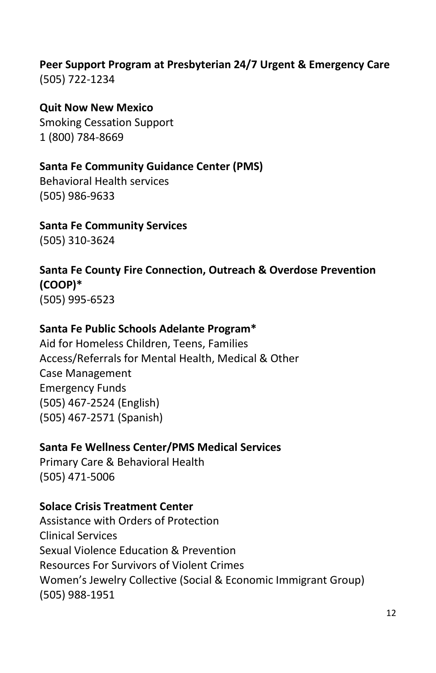## **Peer Support Program at Presbyterian 24/7 Urgent & Emergency Care**  (505) 722-1234

# **Quit Now New Mexico**

Smoking Cessation Support 1 (800) 784-8669

## **Santa Fe Community Guidance Center (PMS)**

Behavioral Health services (505) 986-9633

## **Santa Fe Community Services**

(505) 310-3624

## **Santa Fe County Fire Connection, Outreach & Overdose Prevention (COOP)\***

(505) 995-6523

## **Santa Fe Public Schools Adelante Program\***

Aid for Homeless Children, Teens, Families Access/Referrals for Mental Health, Medical & Other Case Management Emergency Funds (505) 467-2524 (English) (505) 467-2571 (Spanish)

## **Santa Fe Wellness Center/PMS Medical Services**

Primary Care & Behavioral Health (505) 471-5006

## **Solace Crisis Treatment Center**

Assistance with Orders of Protection Clinical Services Sexual Violence Education & Prevention Resources For Survivors of Violent Crimes Women's Jewelry Collective (Social & Economic Immigrant Group) (505) 988-1951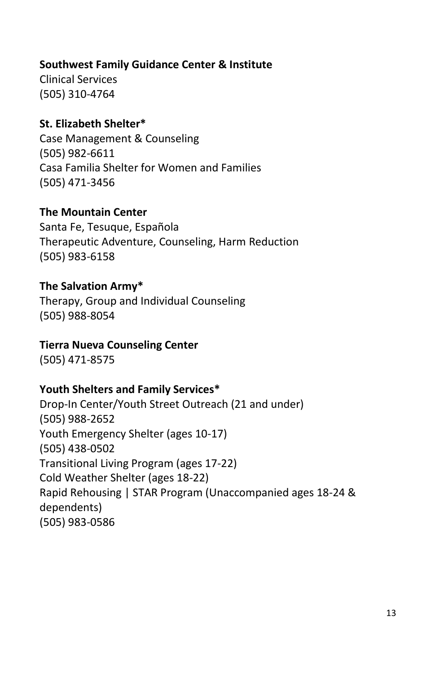## **Southwest Family Guidance Center & Institute**

Clinical Services (505) 310-4764

## **St. Elizabeth Shelter\***

Case Management & Counseling (505) 982-6611 Casa Familia Shelter for Women and Families (505) 471-3456

#### **The Mountain Center**

Santa Fe, Tesuque, Española Therapeutic Adventure, Counseling, Harm Reduction (505) 983-6158

## **The Salvation Army\***

Therapy, Group and Individual Counseling (505) 988-8054

## **Tierra Nueva Counseling Center**

(505) 471-8575

## **Youth Shelters and Family Services\***

Drop-In Center/Youth Street Outreach (21 and under) (505) 988-2652 Youth Emergency Shelter (ages 10-17) (505) 438-0502 Transitional Living Program (ages 17-22) Cold Weather Shelter (ages 18-22) Rapid Rehousing | STAR Program (Unaccompanied ages 18-24 & dependents) (505) 983-0586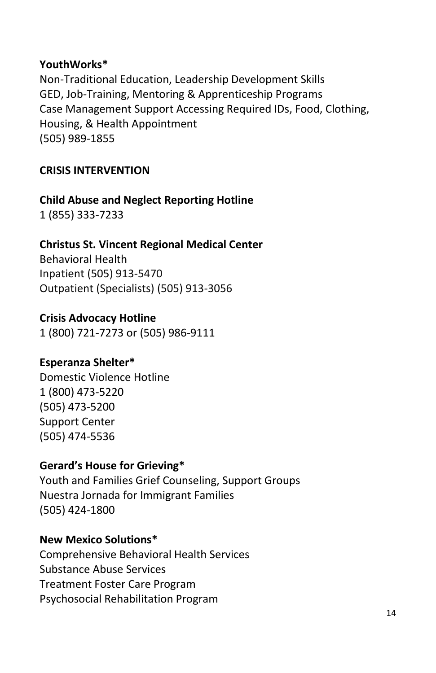## **YouthWorks\***

Non-Traditional Education, Leadership Development Skills GED, Job-Training, Mentoring & Apprenticeship Programs Case Management Support Accessing Required IDs, Food, Clothing, Housing, & Health Appointment (505) 989-1855

## <span id="page-17-0"></span>**CRISIS INTERVENTION**

**Child Abuse and Neglect Reporting Hotline** 1 (855) 333-7233

## **Christus St. Vincent Regional Medical Center**

Behavioral Health Inpatient [\(505\) 913-5470](tel:5059135470) Outpatient (Specialists[\) \(505\) 913-3056](tel:5059133056)

## **Crisis Advocacy Hotline**

1 (800) 721-7273 or (505) 986-9111

## **Esperanza Shelter\***

Domestic Violence Hotline 1 (800) 473-5220 (505) 473-5200 Support Center (505) 474-5536

## **Gerard's House for Grieving\***

Youth and Families Grief Counseling, Support Groups Nuestra Jornada for Immigrant Families (505) 424-1800

## **New Mexico Solutions\***

Comprehensive Behavioral Health Services Substance Abuse Services Treatment Foster Care Program Psychosocial Rehabilitation Program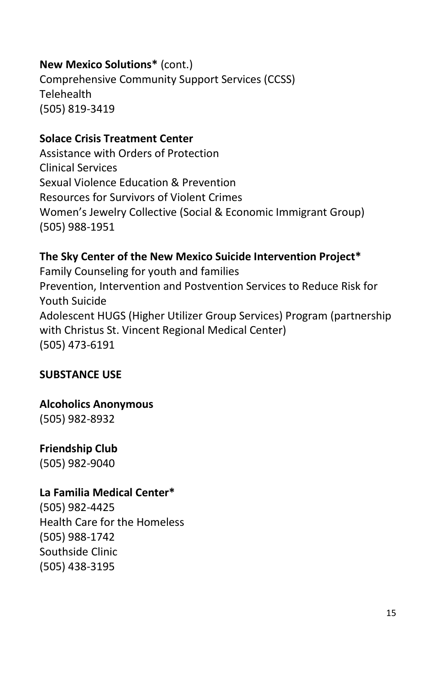## **New Mexico Solutions\*** (cont.)

Comprehensive Community Support Services (CCSS) **Telehealth** (505) 819-3419

## **Solace Crisis Treatment Center**

Assistance with Orders of Protection Clinical Services Sexual Violence Education & Prevention Resources for Survivors of Violent Crimes Women's Jewelry Collective (Social & Economic Immigrant Group) (505) 988-1951

## **The Sky Center of the New Mexico Suicide Intervention Project\***

Family Counseling for youth and families Prevention, Intervention and Postvention Services to Reduce Risk for Youth Suicide Adolescent HUGS (Higher Utilizer Group Services) Program (partnership with Christus St. Vincent Regional Medical Center) (505) 473-6191

## <span id="page-18-0"></span>**SUBSTANCE USE**

**Alcoholics Anonymous** (505) 982-8932

## **Friendship Club**

(505) 982-9040

## **La Familia Medical Center\***

(505) 982-4425 Health Care for the Homeless (505) 988-1742 Southside Clinic (505) 438-3195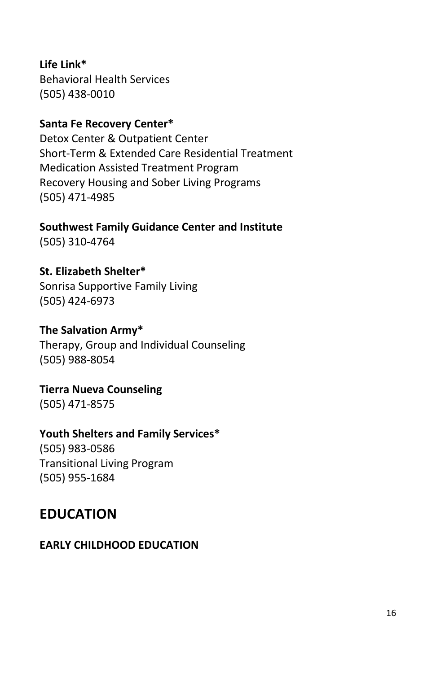**Life Link\*** Behavioral Health Services (505) 438-0010

## **Santa Fe Recovery Center\***

Detox Center & Outpatient Center Short-Term & Extended Care Residential Treatment Medication Assisted Treatment Program Recovery Housing and Sober Living Programs (505) 471-4985

**Southwest Family Guidance Center and Institute** (505) 310-4764

**St. Elizabeth Shelter\*** Sonrisa Supportive Family Living (505) 424-6973

## **The Salvation Army\***

Therapy, Group and Individual Counseling (505) 988-8054

**Tierra Nueva Counseling**  (505) 471-8575

## **Youth Shelters and Family Services\***

(505) 983-0586 Transitional Living Program (505) 955-1684

## <span id="page-19-0"></span>**EDUCATION**

## <span id="page-19-1"></span>**EARLY CHILDHOOD EDUCATION**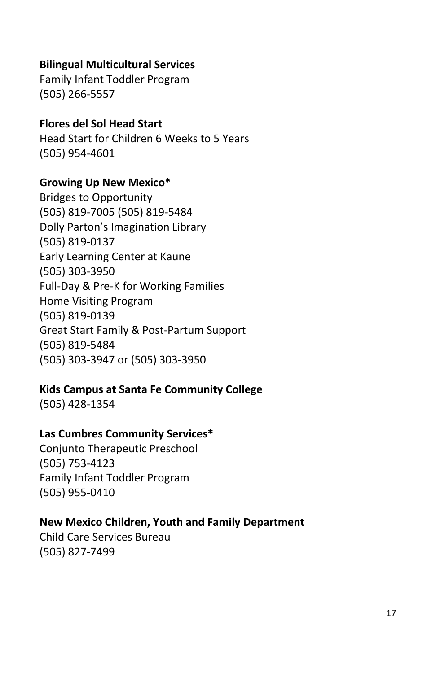## **Bilingual Multicultural Services**

Family Infant Toddler Program (505) 266-5557

#### **Flores del Sol Head Start**

Head Start for Children 6 Weeks to 5 Years (505) 954-4601

#### **Growing Up New Mexico\***

Bridges to Opportunity (505) 819-7005 (505) 819-5484 Dolly Parton's Imagination Library (505) 819-0137 Early Learning Center at Kaune (505) 303-3950 Full-Day & Pre-K for Working Families Home Visiting Program (505) 819-0139 Great Start Family & Post-Partum Support (505) 819-5484 (505) 303-3947 or (505) 303-3950

## **Kids Campus at Santa Fe Community College**

(505) 428-1354

## **Las Cumbres Community Services\***

Conjunto Therapeutic Preschool (505) 753-4123 Family Infant Toddler Program (505) 955-0410

## **New Mexico Children, Youth and Family Department**

Child Care Services Bureau (505) 827-7499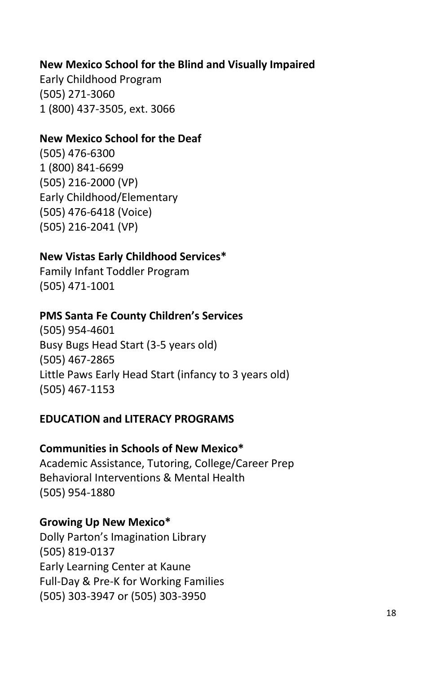## **New Mexico School for the Blind and Visually Impaired**

Early Childhood Program (505) 271-3060 1 (800) 437-3505, ext. 3066

#### **New Mexico School for the Deaf**

(505) 476-6300 1 (800) 841-6699 (505) 216-2000 (VP) Early Childhood/Elementary (505) 476-6418 (Voice) (505) 216-2041 (VP)

#### **New Vistas Early Childhood Services\***

Family Infant Toddler Program (505) 471-1001

#### **PMS Santa Fe County Children's Services**

(505) 954-4601 Busy Bugs Head Start (3-5 years old) (505) 467-2865 Little Paws Early Head Start (infancy to 3 years old) (505) 467-1153

#### <span id="page-21-0"></span>**EDUCATION and LITERACY PROGRAMS**

#### **Communities in Schools of New Mexico\***

Academic Assistance, Tutoring, College/Career Prep Behavioral Interventions & Mental Health (505) 954-1880

#### **Growing Up New Mexico\***

Dolly Parton's Imagination Library (505) 819-0137 Early Learning Center at Kaune Full-Day & Pre-K for Working Families (505) 303-3947 or (505) 303-3950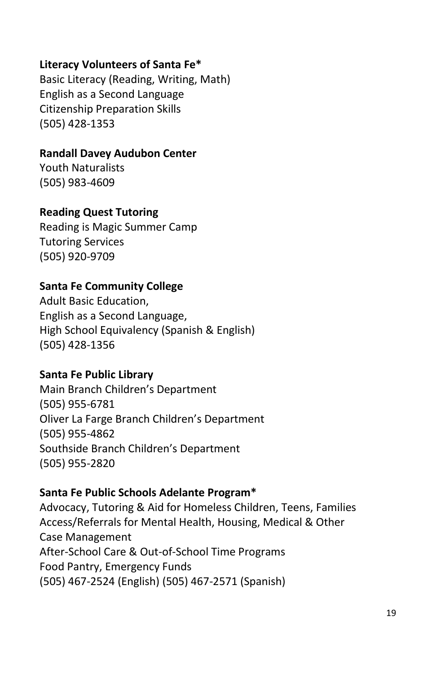## **Literacy Volunteers of Santa Fe\***

Basic Literacy (Reading, Writing, Math) English as a Second Language Citizenship Preparation Skills (505) 428-1353

#### **Randall Davey Audubon Center**

Youth Naturalists (505) 983-4609

#### **Reading Quest Tutoring**

Reading is Magic Summer Camp Tutoring Services (505) 920-9709

## **Santa Fe Community College**

Adult Basic Education, English as a Second Language, High School Equivalency (Spanish & English) (505) 428-1356

#### **Santa Fe Public Library**

Main Branch Children's Department (505) 955-6781 Oliver La Farge Branch Children's Department (505) 955-4862 Southside Branch Children's Department (505) 955-2820

#### **Santa Fe Public Schools Adelante Program\***

Advocacy, Tutoring & Aid for Homeless Children, Teens, Families Access/Referrals for Mental Health, Housing, Medical & Other Case Management After-School Care & Out-of-School Time Programs Food Pantry, Emergency Funds (505) 467-2524 (English) (505) 467-2571 (Spanish)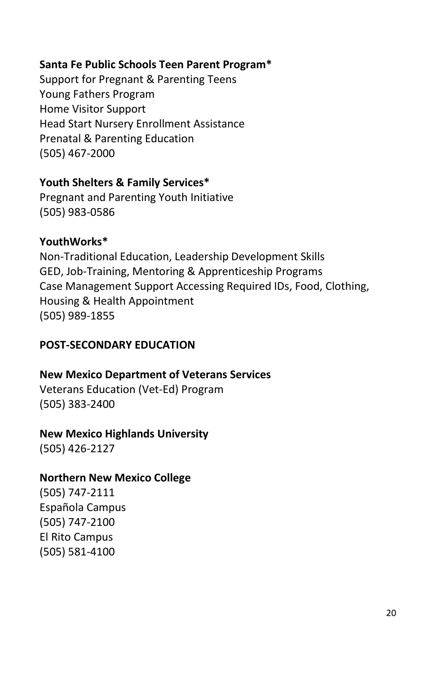## <span id="page-23-0"></span>**Santa Fe Public Schools Teen Parent Program\***

Support for Pregnant & Parenting Teens Young Fathers Program Home Visitor Support Head Start Nursery Enrollment Assistance Prenatal & Parenting Education (505) 467-2000

## **Youth Shelters & Family Services\***

Pregnant and Parenting Youth Initiative (505) 983-0586

## **YouthWorks\***

Non-Traditional Education, Leadership Development Skills GED, Job-Training, Mentoring & Apprenticeship Programs Case Management Support Accessing Required IDs, Food, Clothing, Housing & Health Appointment (505) 989-1855

## **POST-SECONDARY EDUCATION**

## **New Mexico Department of Veterans Services**

Veterans Education (Vet-Ed) Program (505) 383-2400

## **New Mexico Highlands University**

(505) 426-2127

## **Northern New Mexico College**

(505) 747-2111 Española Campus (505) 747-2100 El Rito Campus (505) 581-4100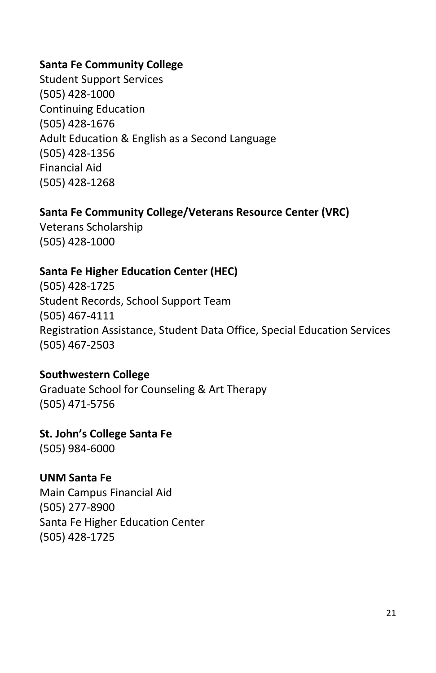## **Santa Fe Community College**

Student Support Services (505) 428-1000 Continuing Education (505) 428-1676 Adult Education & English as a Second Language (505) 428-1356 Financial Aid (505) 428-1268

## **Santa Fe Community College/Veterans Resource Center (VRC)**

Veterans Scholarship (505) 428-1000

## **Santa Fe Higher Education Center (HEC)**

(505) 428-1725 Student Records, School Support Team (505) 467-4111 Registration Assistance, Student Data Office, Special Education Services (505) 467-2503

## **Southwestern College**

Graduate School for Counseling & Art Therapy (505) 471-5756

## **St. John's College Santa Fe**

(505) 984-6000

## **UNM Santa Fe**

Main Campus Financial Aid (505) 277-8900 Santa Fe Higher Education Center (505) 428-1725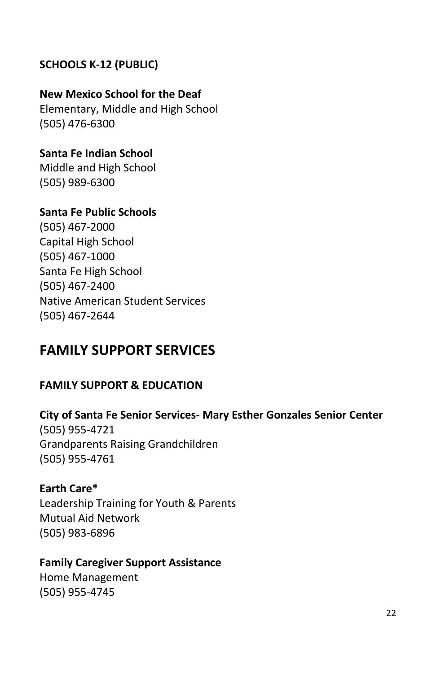## <span id="page-25-0"></span>**SCHOOLS K-12 (PUBLIC)**

## **New Mexico School for the Deaf**

Elementary, Middle and High School (505) 476-6300

## **Santa Fe Indian School**

Middle and High School (505) 989-6300

## **Santa Fe Public Schools**

(505) 467-2000 Capital High School (505) 467-1000 Santa Fe High School (505) 467-2400 Native American Student Services (505) 467-2644

## <span id="page-25-1"></span>**FAMILY SUPPORT SERVICES**

## <span id="page-25-2"></span>**FAMILY SUPPORT & EDUCATION**

# **City of Santa Fe Senior Services- Mary Esther Gonzales Senior Center**

(505) 955-4721 Grandparents Raising Grandchildren (505) 955-4761

## **Earth Care\***

Leadership Training for Youth & Parents Mutual Aid Network (505) 983-6896

## **Family Caregiver Support Assistance**

Home Management (505) 955-4745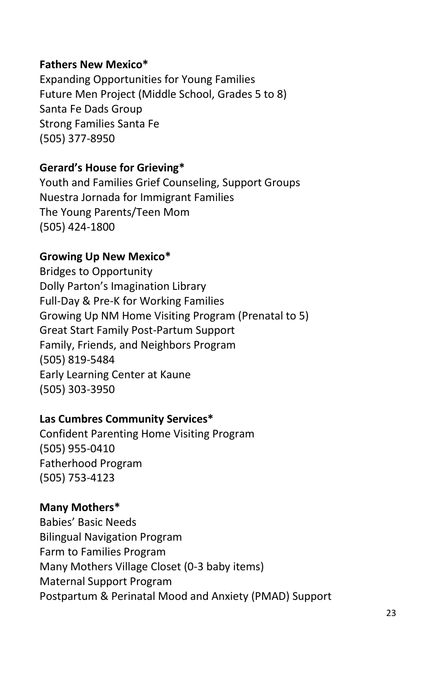## **Fathers New Mexico\***

Expanding Opportunities for Young Families Future Men Project (Middle School, Grades 5 to 8) Santa Fe Dads Group Strong Families Santa Fe (505) 377-8950

## **Gerard's House for Grieving\***

Youth and Families Grief Counseling, Support Groups Nuestra Jornada for Immigrant Families The Young Parents/Teen Mom (505) 424-1800

## **Growing Up New Mexico\***

Bridges to Opportunity Dolly Parton's Imagination Library Full-Day & Pre-K for Working Families Growing Up NM Home Visiting Program (Prenatal to 5) Great Start Family Post-Partum Support Family, Friends, and Neighbors Program (505) 819-5484 Early Learning Center at Kaune (505) 303-3950

## **Las Cumbres Community Services\***

Confident Parenting Home Visiting Program (505) 955-0410 Fatherhood Program (505) 753-4123

#### **Many Mothers\***

Babies' Basic Needs Bilingual Navigation Program Farm to Families Program Many Mothers Village Closet (0-3 baby items) Maternal Support Program Postpartum & Perinatal Mood and Anxiety (PMAD) Support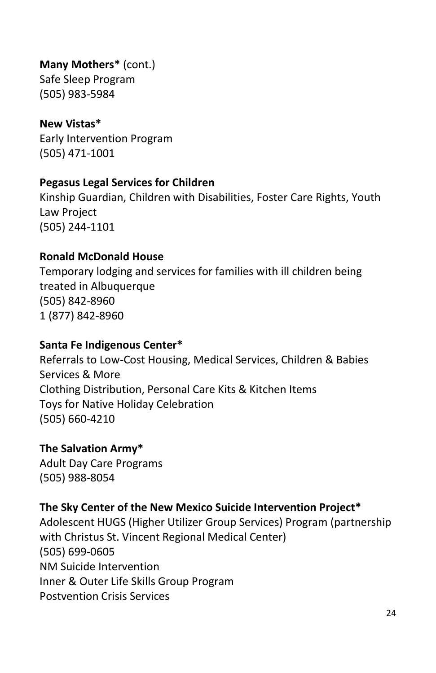## **Many Mothers\*** (cont.)

Safe Sleep Program (505) 983-5984

## **New Vistas\***

Early Intervention Program (505) 471-1001

## **Pegasus Legal Services for Children**

[Kinship Guardian, Children with Disabilities, Foster Care Rights, Youth](https://www.google.com/search?client=firefox-b-1-d&q=Pegasus+Legal+Services+for+Children)  [Law Project](https://www.google.com/search?client=firefox-b-1-d&q=Pegasus+Legal+Services+for+Children) [\(505\) 244-1101](https://www.google.com/search?client=firefox-b-1-d&q=Pegasus+Legal+Services+for+Children)

## **Ronald McDonald House**

Temporary lodging and services for families with ill children being treated in Albuquerque (505) 842-8960 1 (877) 842-8960

## **Santa Fe Indigenous Center\***

Referrals to Low-Cost Housing, Medical Services, Children & Babies Services & More Clothing Distribution, Personal Care Kits & Kitchen Items Toys for Native Holiday Celebration (505) 660-4210

## **The Salvation Army\***

Adult Day Care Programs (505) 988-8054

## **The Sky Center of the New Mexico Suicide Intervention Project\***

Adolescent HUGS (Higher Utilizer Group Services) Program (partnership with Christus St. Vincent Regional Medical Center) (505) 699-0605 NM Suicide Intervention Inner & Outer Life Skills Group Program Postvention Crisis Services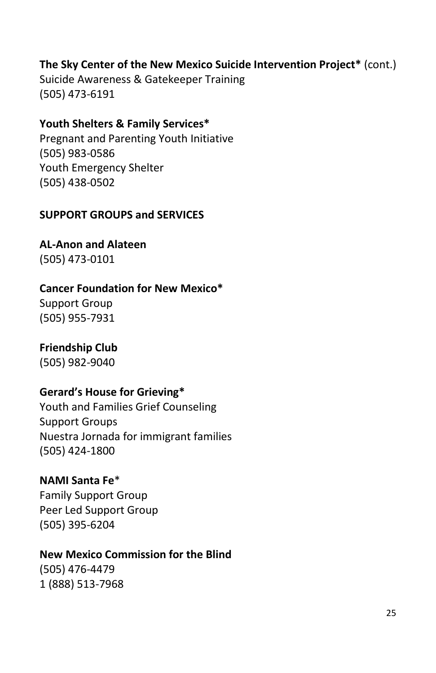## **The Sky Center of the New Mexico Suicide Intervention Project\*** (cont.)

Suicide Awareness & Gatekeeper Training (505) 473-6191

## **Youth Shelters & Family Services\***

Pregnant and Parenting Youth Initiative (505) 983-0586 Youth Emergency Shelter (505) 438-0502

## <span id="page-28-0"></span>**SUPPORT GROUPS and SERVICES**

**AL-Anon and Alateen**

(505) 473-0101

## **Cancer Foundation for New Mexico\***

Support Group (505) 955-7931

## **Friendship Club**

(505) 982-9040

## **Gerard's House for Grieving\***

Youth and Families Grief Counseling Support Groups Nuestra Jornada for immigrant families (505) 424-1800

## **NAMI Santa Fe**\*

Family Support Group Peer Led Support Group (505) 395-6204

## **New Mexico Commission for the Blind**

(505) 476-4479 1 (888) 513-7968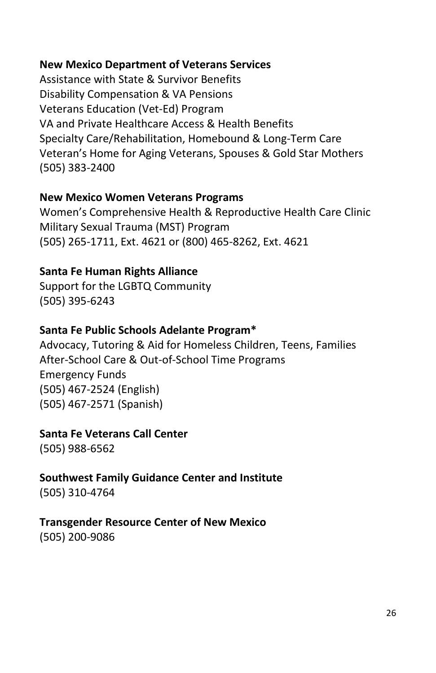## **New Mexico Department of Veterans Services**

Assistance with State & Survivor Benefits Disability Compensation & VA Pensions Veterans Education (Vet-Ed) Program VA and Private Healthcare Access & Health Benefits Specialty Care/Rehabilitation, Homebound & Long-Term Care Veteran's Home for Aging Veterans, Spouses & Gold Star Mothers (505) 383-2400

## **New Mexico Women Veterans Programs**

Women's Comprehensive Health & Reproductive Health Care Clinic Military Sexual Trauma (MST) Program (505) 265-1711, Ext. 4621 or (800) 465-8262, Ext. 4621

## **Santa Fe Human Rights Alliance**

Support for the LGBTQ Community (505) 395-6243

## **Santa Fe Public Schools Adelante Program\***

Advocacy, Tutoring & Aid for Homeless Children, Teens, Families After-School Care & Out-of-School Time Programs Emergency Funds (505) 467-2524 (English) (505) 467-2571 (Spanish)

## **Santa Fe Veterans Call Center**

(505) 988-6562

# **Southwest Family Guidance Center and Institute**

(505) 310-4764

## **Transgender Resource Center of New Mexico**

(505) 200-9086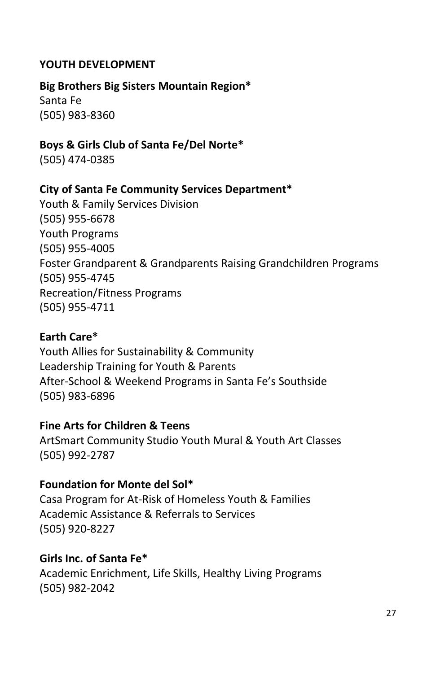## <span id="page-30-0"></span>**YOUTH DEVELOPMENT**

#### **Big Brothers Big Sisters Mountain Region\***

Santa Fe (505) 983-8360

## **Boys & Girls Club of Santa Fe/Del Norte\***

(505) 474-0385

## **City of Santa Fe Community Services Department\***

Youth & Family Services Division (505) 955-6678 Youth Programs (505) 955-4005 Foster Grandparent & Grandparents Raising Grandchildren Programs (505) 955-4745 Recreation/Fitness Programs (505) 955-4711

## **Earth Care\***

Youth Allies for Sustainability & Community Leadership Training for Youth & Parents After-School & Weekend Programs in Santa Fe's Southside (505) 983-6896

## **Fine Arts for Children & Teens**

ArtSmart Community Studio Youth Mural & Youth Art Classes (505) 992-2787

## **Foundation for Monte del Sol\***

Casa Program for At-Risk of Homeless Youth & Families Academic Assistance & Referrals to Services (505) 920-8227

## **Girls Inc. of Santa Fe\***

Academic Enrichment, Life Skills, Healthy Living Programs (505) 982-2042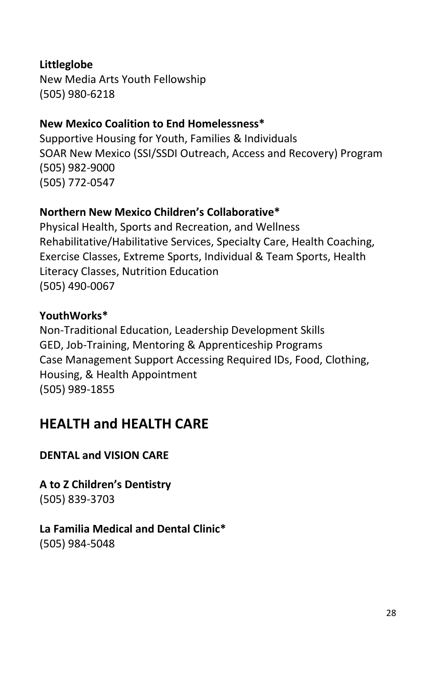## **Littleglobe**

New Media Arts Youth Fellowship (505) 980-6218

## **New Mexico Coalition to End Homelessness\***

Supportive Housing for Youth, Families & Individuals SOAR New Mexico (SSI/SSDI Outreach, Access and Recovery) Program (505) 982-9000 (505) 772-0547

## **Northern New Mexico Children's Collaborative\***

Physical Health, Sports and Recreation, and Wellness Rehabilitative/Habilitative Services, Specialty Care, Health Coaching, Exercise Classes, Extreme Sports, Individual & Team Sports, Health Literacy Classes, Nutrition Education (505) 490-0067

## **YouthWorks\***

Non-Traditional Education, Leadership Development Skills GED, Job-Training, Mentoring & Apprenticeship Programs Case Management Support Accessing Required IDs, Food, Clothing, Housing, & Health Appointment (505) 989-1855

## <span id="page-31-0"></span>**HEALTH and HEALTH CARE**

## <span id="page-31-1"></span>**DENTAL and VISION CARE**

**A to Z Children's Dentistry** (505) 839-3703

## **La Familia Medical and Dental Clinic\*** (505) 984-5048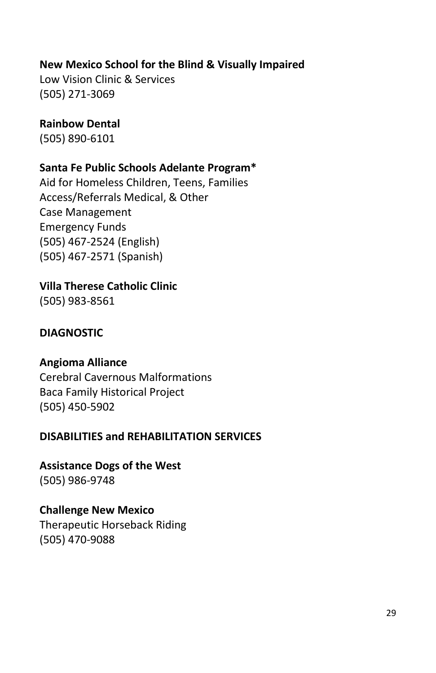## **New Mexico School for the Blind & Visually Impaired**

Low Vision Clinic & Services (505) 271-3069

## **Rainbow Dental**

(505) 890-6101

## **Santa Fe Public Schools Adelante Program\***

Aid for Homeless Children, Teens, Families Access/Referrals Medical, & Other Case Management Emergency Funds (505) 467-2524 (English) (505) 467-2571 (Spanish)

## **Villa Therese Catholic Clinic**

(505) 983-8561

## <span id="page-32-0"></span>**DIAGNOSTIC**

## **Angioma Alliance**

Cerebral Cavernous Malformations Baca Family Historical Project (505) 450-5902

## <span id="page-32-1"></span>**DISABILITIES and REHABILITATION SERVICES**

**Assistance Dogs of the West** (505) 986-9748

**Challenge New Mexico** Therapeutic Horseback Riding (505) 470-9088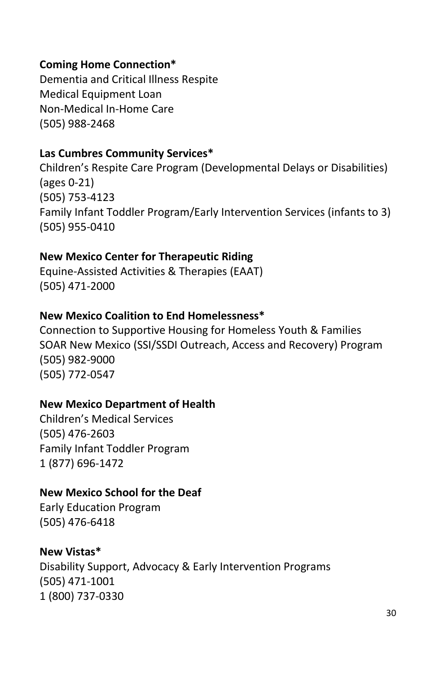## **Coming Home Connection\***

Dementia and Critical Illness Respite Medical Equipment Loan Non-Medical In-Home Care (505) 988-2468

## **Las Cumbres Community Services\***

Children's Respite Care Program (Developmental Delays or Disabilities) (ages 0-21) (505) 753-4123 Family Infant Toddler Program/Early Intervention Services (infants to 3) (505) 955-0410

## **New Mexico Center for Therapeutic Riding**

Equine-Assisted Activities & Therapies (EAAT) (505) 471-2000

## **New Mexico Coalition to End Homelessness\***

Connection to Supportive Housing for Homeless Youth & Families SOAR New Mexico (SSI/SSDI Outreach, Access and Recovery) Program (505) 982-9000 (505) 772-0547

## **New Mexico Department of Health**

Children's Medical Services (505) 476-2603 Family Infant Toddler Program 1 (877) 696-1472

## **New Mexico School for the Deaf**

Early Education Program (505) 476-6418

## **New Vistas\***

Disability Support, Advocacy & Early Intervention Programs (505) 471-1001 1 (800) 737-0330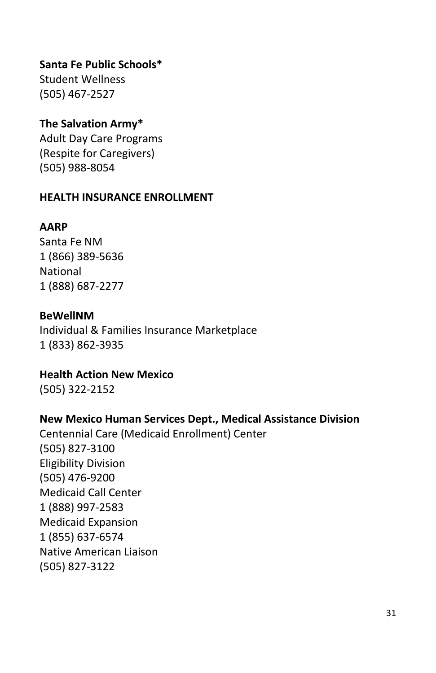## **Santa Fe Public Schools\***

Student Wellness (505) 467-2527

## **The Salvation Army\***

Adult Day Care Programs (Respite for Caregivers) (505) 988-8054

#### <span id="page-34-0"></span>**HEALTH INSURANCE ENROLLMENT**

## **AARP**

Santa Fe NM 1 (866) 389-5636 National 1 (888) 687-2277

## **BeWellNM**

Individual & Families Insurance Marketplace 1 (833) 862-3935

**Health Action New Mexico** (505) 322-2152

## **New Mexico Human Services Dept., Medical Assistance Division**

Centennial Care (Medicaid Enrollment) Center (505) 827-3100 Eligibility Division (505) 476-9200 Medicaid Call Center 1 (888) 997-2583 Medicaid Expansion 1 (855) 637-6574 Native American Liaison (505) 827-3122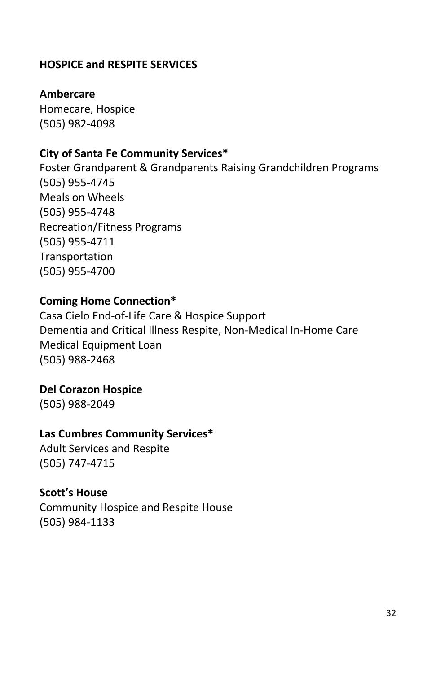## <span id="page-35-0"></span>**HOSPICE and RESPITE SERVICES**

## **Ambercare**

Homecare, Hospice (505) 982-4098

## **City of Santa Fe Community Services\***

Foster Grandparent & Grandparents Raising Grandchildren Programs (505) 955-4745 Meals on Wheels (505) 955-4748 Recreation/Fitness Programs (505) 955-4711 Transportation (505) 955-4700

#### **Coming Home Connection\***

Casa Cielo End-of-Life Care & Hospice Support Dementia and Critical Illness Respite, Non-Medical In-Home Care Medical Equipment Loan (505) 988-2468

#### **Del Corazon Hospice**

(505) 988-2049

#### **Las Cumbres Community Services\***

Adult Services and Respite (505) 747-4715

#### **Scott's House**

Community Hospice and Respite House (505) 984-1133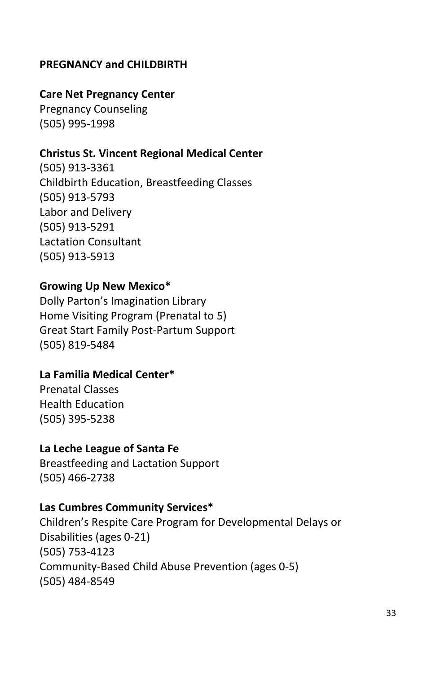## <span id="page-36-0"></span>**PREGNANCY and CHILDBIRTH**

#### **Care Net Pregnancy Center**

Pregnancy Counseling (505) 995-1998

#### **Christus St. Vincent Regional Medical Center**

(505) 913-3361 Childbirth Education, Breastfeeding Classes (505) 913-5793 Labor and Delivery (505) 913-5291 Lactation Consultant (505) 913-5913

## **Growing Up New Mexico\***

Dolly Parton's Imagination Library Home Visiting Program (Prenatal to 5) Great Start Family Post-Partum Support (505) 819-5484

#### **La Familia Medical Center\***

Prenatal Classes Health Education (505) 395-5238

#### **La Leche League of Santa Fe**

Breastfeeding and Lactation Support (505) 466-2738

#### **Las Cumbres Community Services\***

Children's Respite Care Program for Developmental Delays or Disabilities (ages 0-21) (505) 753-4123 Community-Based Child Abuse Prevention (ages 0-5) (505) 484-8549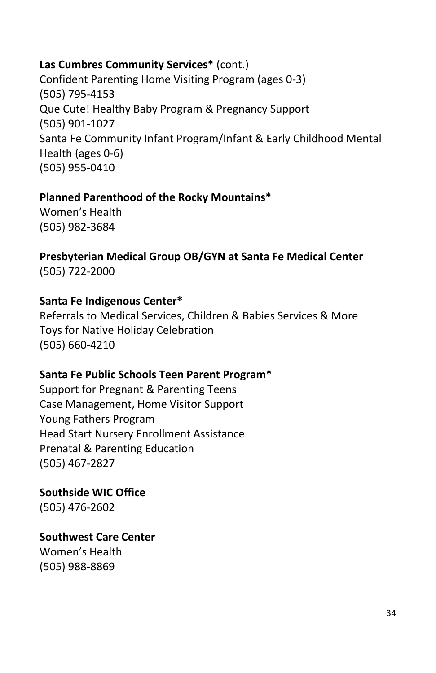## **Las Cumbres Community Services\*** (cont.)

Confident Parenting Home Visiting Program (ages 0-3) (505) 795-4153 Que Cute! Healthy Baby Program & Pregnancy Support (505) 901-1027 Santa Fe Community Infant Program/Infant & Early Childhood Mental Health (ages 0-6) (505) 955-0410

## **Planned Parenthood of the Rocky Mountains\***

Women's Health (505) 982-3684

**Presbyterian Medical Group OB/GYN at Santa Fe Medical Center** (505) 722-2000

## **Santa Fe Indigenous Center\***

Referrals to Medical Services, Children & Babies Services & More Toys for Native Holiday Celebration (505) 660-4210

## **Santa Fe Public Schools Teen Parent Program\***

Support for Pregnant & Parenting Teens Case Management, Home Visitor Support Young Fathers Program Head Start Nursery Enrollment Assistance Prenatal & Parenting Education (505) 467-2827

**Southside WIC Office** (505) 476-2602

**Southwest Care Center**

Women's Health (505) 988-8869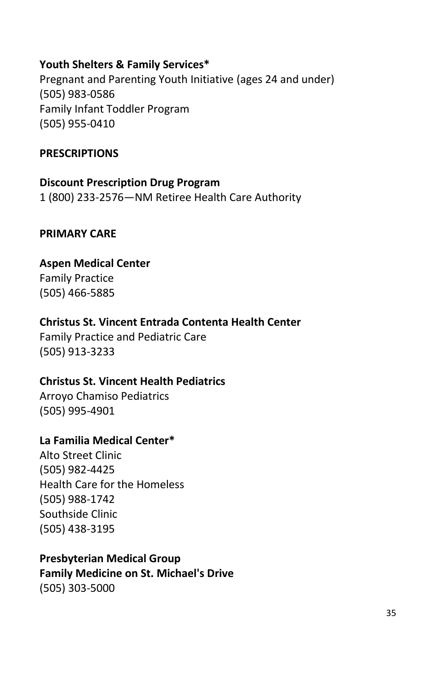## **Youth Shelters & Family Services\***

Pregnant and Parenting Youth Initiative (ages 24 and under) (505) 983-0586 Family Infant Toddler Program (505) 955-0410

#### <span id="page-38-0"></span>**PRESCRIPTIONS**

## **Discount Prescription Drug Program**

1 (800) 233-2576—NM Retiree Health Care Authority

## <span id="page-38-1"></span>**PRIMARY CARE**

## **Aspen Medical Center**

Family Practice (505) 466-5885

## **Christus St. Vincent Entrada Contenta Health Center**

Family Practice and Pediatric Care (505) 913-3233

## **Christus St. Vincent Health Pediatrics**

Arroyo Chamiso Pediatrics (505) 995-4901

## **La Familia Medical Center\***

Alto Street Clinic (505) 982-4425 Health Care for the Homeless (505) 988-1742 Southside Clinic (505) 438-3195

## **Presbyterian Medical Group**

**Family Medicine on St. Michael's Drive** (505) 303-5000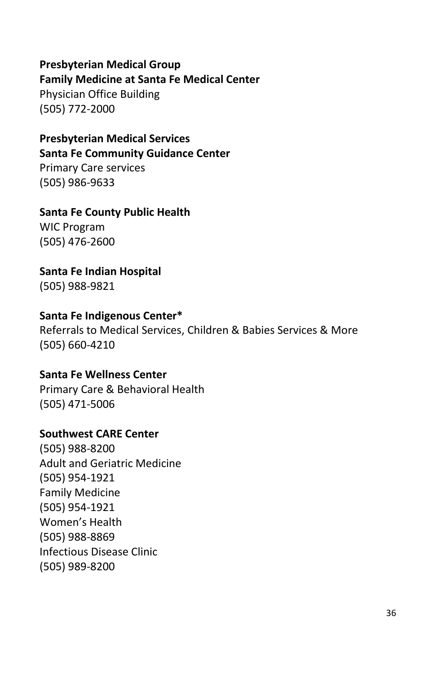## **Presbyterian Medical Group Family Medicine at Santa Fe Medical Center**

Physician Office Building (505) 772-2000

#### **Presbyterian Medical Services Santa Fe Community Guidance Center**

Primary Care services (505) 986-9633

## **Santa Fe County Public Health**

WIC Program (505) 476-2600

## **Santa Fe Indian Hospital**

(505) 988-9821

## **Santa Fe Indigenous Center\***

Referrals to Medical Services, Children & Babies Services & More (505) 660-4210

## **Santa Fe Wellness Center**

Primary Care & Behavioral Health (505) 471-5006

## **Southwest CARE Center**

(505) 988-8200 Adult and Geriatric Medicine (505) 954-1921 Family Medicine (505) 954-1921 Women's Health (505) 988-8869 Infectious Disease Clinic (505) 989-8200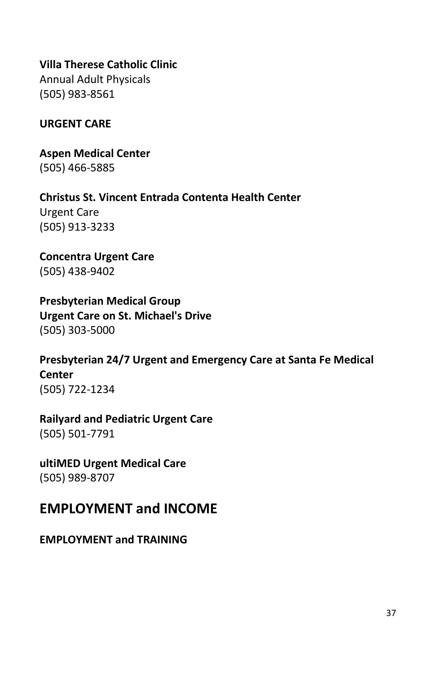## **Villa Therese Catholic Clinic**

Annual Adult Physicals (505) 983-8561

## <span id="page-40-0"></span>**URGENT CARE**

**Aspen Medical Center** (505) 466-5885

**Christus St. Vincent Entrada Contenta Health Center** Urgent Care (505) 913-3233

**Concentra Urgent Care** (505) 438-9402

**Presbyterian Medical Group Urgent Care on St. Michael's Drive** (505) 303-5000

**Presbyterian 24/7 Urgent and Emergency Care at Santa Fe Medical Center** (505) 722-1234

## **Railyard and Pediatric Urgent Care**

(505) 501-7791

**ultiMED Urgent Medical Care** (505) 989-8707

## <span id="page-40-1"></span>**EMPLOYMENT and INCOME**

## <span id="page-40-2"></span>**EMPLOYMENT and TRAINING**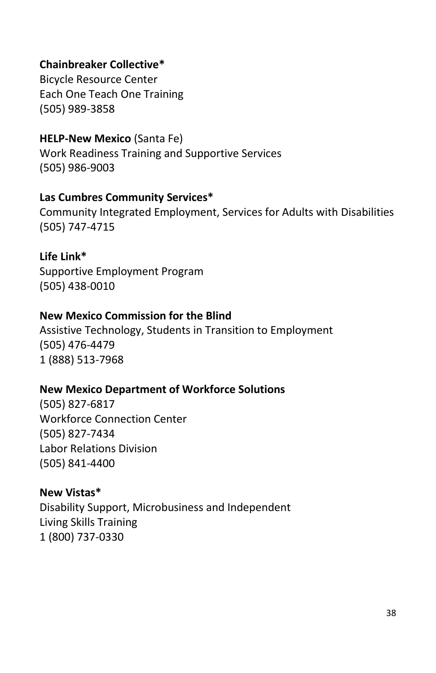## **Chainbreaker Collective\***

Bicycle Resource Center Each One Teach One Training (505) 989-3858

#### **HELP-New Mexico** (Santa Fe)

Work Readiness Training and Supportive Services (505) 986-9003

#### **Las Cumbres Community Services\***

Community Integrated Employment, Services for Adults with Disabilities (505) 747-4715

#### **Life Link\***

Supportive Employment Program (505) 438-0010

#### **New Mexico Commission for the Blind**

Assistive Technology, Students in Transition to Employment (505) 476-4479 1 (888) 513-7968

#### **New Mexico Department of Workforce Solutions**

(505) 827-6817 Workforce Connection Center (505) 827-7434 Labor Relations Division (505) 841-4400

#### **New Vistas\***

Disability Support, Microbusiness and Independent Living Skills Training 1 (800) 737-0330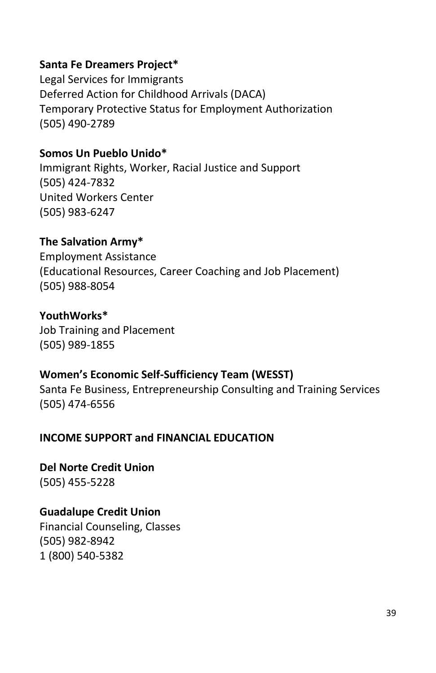## **Santa Fe Dreamers Project\***

Legal Services for Immigrants Deferred Action for Childhood Arrivals (DACA) Temporary Protective Status for Employment Authorization (505) 490-2789

## **Somos Un Pueblo Unido\***

Immigrant Rights, Worker, Racial Justice and Support (505) 424-7832 United Workers Center (505) 983-6247

## **The Salvation Army\***

Employment Assistance (Educational Resources, Career Coaching and Job Placement) (505) 988-8054

## **YouthWorks\***

Job Training and Placement (505) 989-1855

## **Women's Economic Self-Sufficiency Team (WESST)**

Santa Fe Business, Entrepreneurship Consulting and Training Services (505) 474-6556

## <span id="page-42-0"></span>**INCOME SUPPORT and FINANCIAL EDUCATION**

**Del Norte Credit Union** (505) 455-5228

## **Guadalupe Credit Union**

Financial Counseling, Classes (505) 982-8942 1 (800) 540-5382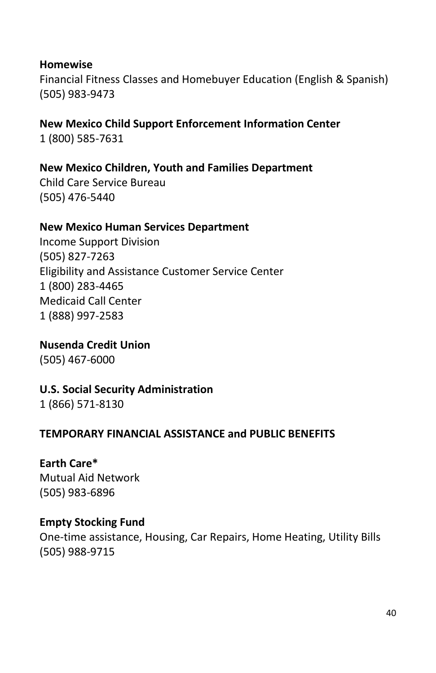#### **Homewise**

Financial Fitness Classes and Homebuyer Education (English & Spanish) (505) 983-9473

**New Mexico Child Support Enforcement Information Center** 1 (800) 585-7631

**New Mexico Children, Youth and Families Department**

Child Care Service Bureau (505) 476-5440

#### **New Mexico Human Services Department**

Income Support Division (505) 827-7263 Eligibility and Assistance Customer Service Center 1 (800) 283-4465 Medicaid Call Center 1 (888) 997-2583

**Nusenda Credit Union** (505) 467-6000

## **U.S. Social Security Administration**

1 (866) 571-8130

## <span id="page-43-0"></span>**TEMPORARY FINANCIAL ASSISTANCE and PUBLIC BENEFITS**

## **Earth Care\***

Mutual Aid Network (505) 983-6896

## **Empty Stocking Fund**

One-time assistance, Housing, Car Repairs, Home Heating, Utility Bills (505) 988-9715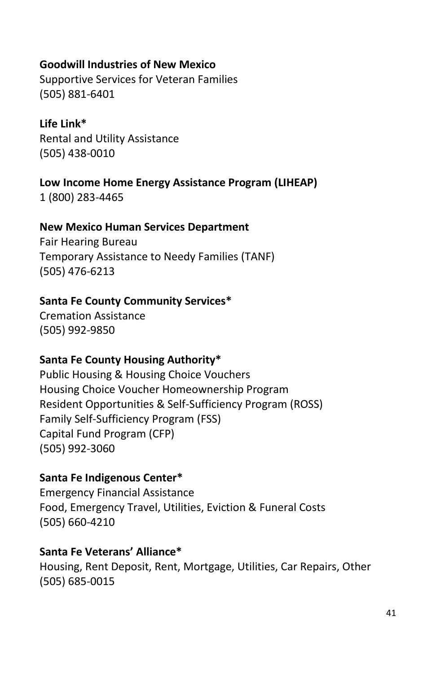## **Goodwill Industries of New Mexico**

Supportive Services for Veteran Families (505) 881-6401

#### **Life Link\***

Rental and Utility Assistance (505) 438-0010

## **Low Income Home Energy Assistance Program (LIHEAP)**

1 (800) 283-4465

## **New Mexico Human Services Department**

Fair Hearing Bureau Temporary Assistance to Needy Families (TANF) (505) 476-6213

## **Santa Fe County Community Services\***

Cremation Assistance (505) 992-9850

## **Santa Fe County Housing Authority\***

Public Housing & Housing Choice Vouchers Housing Choice Voucher Homeownership Program Resident Opportunities & Self-Sufficiency Program (ROSS) Family Self-Sufficiency Program (FSS) Capital Fund Program (CFP) (505) 992-3060

## **Santa Fe Indigenous Center\***

Emergency Financial Assistance Food, Emergency Travel, Utilities, Eviction & Funeral Costs (505) 660-4210

## **Santa Fe Veterans' Alliance\***

Housing, Rent Deposit, Rent, Mortgage, Utilities, Car Repairs, Other (505) 685-0015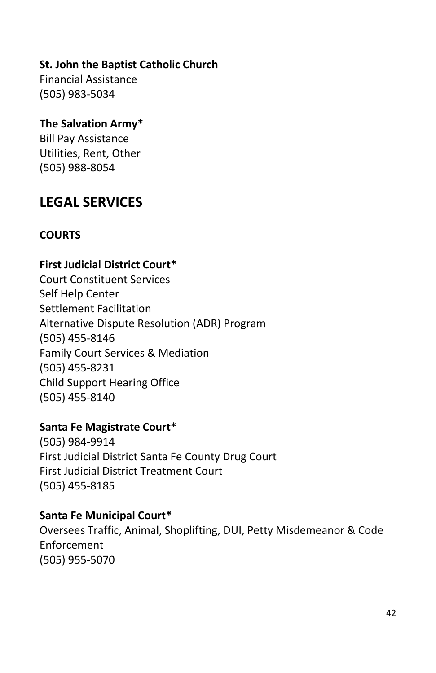## **St. John the Baptist Catholic Church**

Financial Assistance (505) 983-5034

## **The Salvation Army\***

Bill Pay Assistance Utilities, Rent, Other (505) 988-8054

## <span id="page-45-0"></span>**LEGAL SERVICES**

## <span id="page-45-1"></span>**COURTS**

## **First Judicial District Court\***

Court Constituent Services Self Help Center Settlement Facilitation Alternative Dispute Resolution (ADR) Program (505) 455-8146 Family Court Services & Mediation (505) 455-8231 Child Support Hearing Office (505) 455-8140

#### **Santa Fe Magistrate Court\***

(505) 984-9914 First Judicial District Santa Fe County Drug Court First Judicial District Treatment Court (505) 455-8185

#### **Santa Fe Municipal Court\***

Oversees Traffic, Animal, Shoplifting, DUI, Petty Misdemeanor & Code Enforcement (505) 955-5070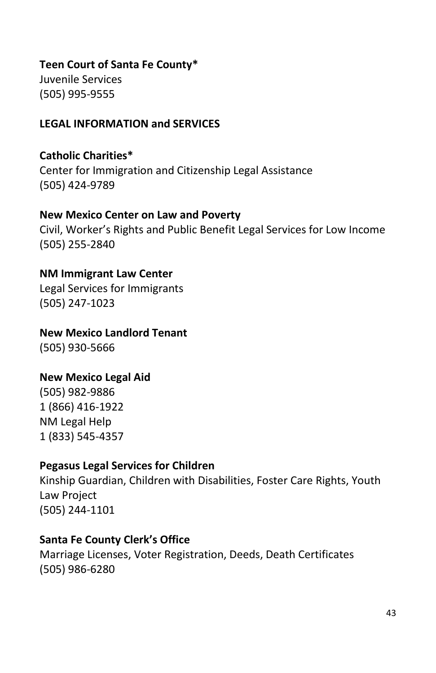## **Teen Court of Santa Fe County\***

Juvenile Services (505) 995-9555

## <span id="page-46-0"></span>**LEGAL INFORMATION and SERVICES**

## **Catholic Charities\***

Center for Immigration and Citizenship Legal Assistance (505) 424-9789

#### **New Mexico Center on Law and Poverty**

Civil, Worker's Rights and Public Benefit Legal Services for Low Income (505) 255-2840

## **NM Immigrant Law Center**

Legal Services for Immigrants (505) 247-1023

## **New Mexico Landlord Tenant**

(505) 930-5666

## **New Mexico Legal Aid**

(505) 982-9886 1 (866) 416-1922 NM Legal Help 1 (833) 545-4357

## **Pegasus Legal Services for Children**

Kinship Guardian, Children with Disabilities, Foster Care Rights, Youth Law Project (505) 244-1101

## **Santa Fe County Clerk's Office**

Marriage Licenses, Voter Registration, Deeds, Death Certificates (505) 986-6280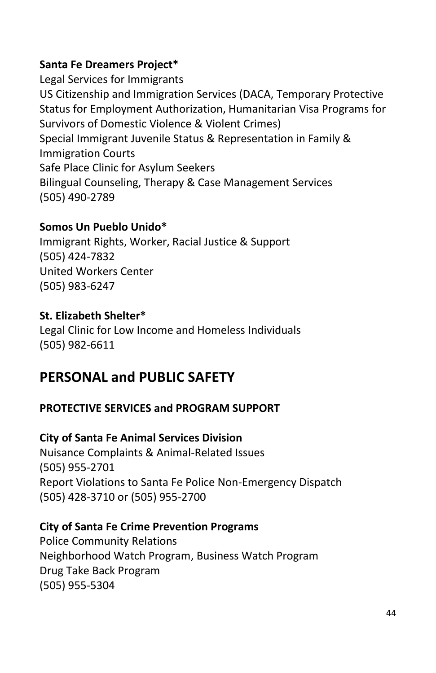## **Santa Fe Dreamers Project\***

Legal Services for Immigrants US Citizenship and Immigration Services (DACA, Temporary Protective Status for Employment Authorization, Humanitarian Visa Programs for Survivors of Domestic Violence & Violent Crimes) Special Immigrant Juvenile Status & Representation in Family & Immigration Courts Safe Place Clinic for Asylum Seekers Bilingual Counseling, Therapy & Case Management Services (505) 490-2789

## **Somos Un Pueblo Unido\***

Immigrant Rights, Worker, Racial Justice & Support (505) 424-7832 United Workers Center (505) 983-6247

## **St. Elizabeth Shelter\***

Legal Clinic for Low Income and Homeless Individuals (505) 982-6611

## <span id="page-47-0"></span>**PERSONAL and PUBLIC SAFETY**

## <span id="page-47-1"></span>**PROTECTIVE SERVICES and PROGRAM SUPPORT**

## **City of Santa Fe Animal Services Division**

Nuisance Complaints & Animal-Related Issues (505) 955-2701 Report Violations to Santa Fe Police Non-Emergency Dispatch (505) 428-3710 or (505) 955-2700

## **City of Santa Fe Crime Prevention Programs**

Police Community Relations Neighborhood Watch Program, Business Watch Program Drug Take Back Program (505) 955-5304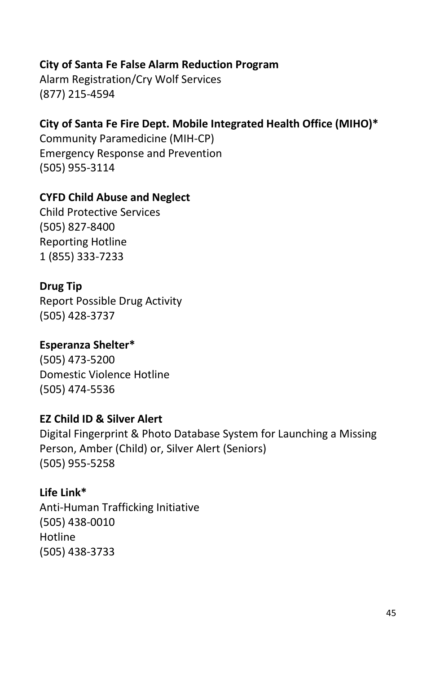## **City of Santa Fe False Alarm Reduction Program**

Alarm Registration/Cry Wolf Services (877) 215-4594

## **City of Santa Fe Fire Dept. Mobile Integrated Health Office (MIHO)\***

Community Paramedicine (MIH-CP) Emergency Response and Prevention (505) 955-3114

## **CYFD Child Abuse and Neglect**

Child Protective Services (505) 827-8400 Reporting Hotline 1 (855) 333-7233

## **Drug Tip**

Report Possible Drug Activity (505) 428-3737

## **Esperanza Shelter\***

(505) 473-5200 Domestic Violence Hotline (505) 474-5536

## **EZ Child ID & Silver Alert**

Digital Fingerprint & Photo Database System for Launching a Missing Person, Amber (Child) or, Silver Alert (Seniors) (505) 955-5258

## **Life Link\***

Anti-Human Trafficking Initiative (505) 438-0010 Hotline (505) 438-3733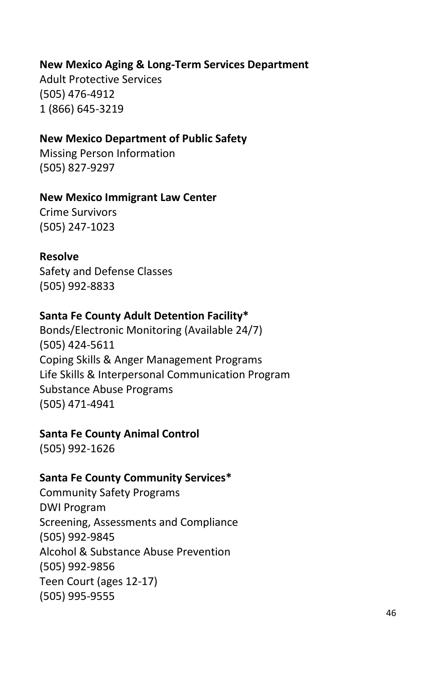## **New Mexico Aging & Long-Term Services Department**

Adult Protective Services (505) 476-4912 1 (866) 645-3219

#### **New Mexico Department of Public Safety**

Missing Person Information (505) 827-9297

#### **New Mexico Immigrant Law Center**

Crime Survivors (505) 247-1023

#### **Resolve**

Safety and Defense Classes (505) 992-8833

## **Santa Fe County Adult Detention Facility\***

Bonds/Electronic Monitoring (Available 24/7) (505) 424-5611 Coping Skills & Anger Management Programs Life Skills & Interpersonal Communication Program Substance Abuse Programs (505) 471-4941

## **Santa Fe County Animal Control**

(505) 992-1626

#### **Santa Fe County Community Services\***

Community Safety Programs DWI Program Screening, Assessments and Compliance (505) 992-9845 Alcohol & Substance Abuse Prevention (505) 992-9856 Teen Court (ages 12-17) (505) 995-9555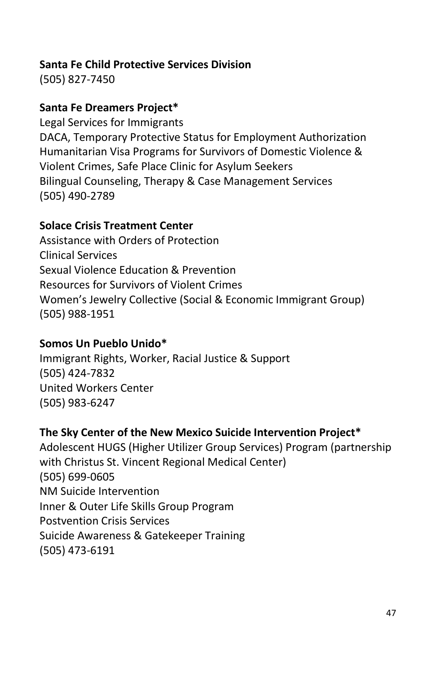## **Santa Fe Child Protective Services Division**

(505) 827-7450

## **Santa Fe Dreamers Project\***

Legal Services for Immigrants DACA, Temporary Protective Status for Employment Authorization Humanitarian Visa Programs for Survivors of Domestic Violence & Violent Crimes, Safe Place Clinic for Asylum Seekers Bilingual Counseling, Therapy & Case Management Services (505) 490-2789

## **Solace Crisis Treatment Center**

Assistance with Orders of Protection Clinical Services Sexual Violence Education & Prevention Resources for Survivors of Violent Crimes Women's Jewelry Collective (Social & Economic Immigrant Group) (505) 988-1951

## **Somos Un Pueblo Unido\***

Immigrant Rights, Worker, Racial Justice & Support (505) 424-7832 United Workers Center (505) 983-6247

## **The Sky Center of the New Mexico Suicide Intervention Project\***

Adolescent HUGS (Higher Utilizer Group Services) Program (partnership with Christus St. Vincent Regional Medical Center) (505) 699-0605 NM Suicide Intervention Inner & Outer Life Skills Group Program Postvention Crisis Services Suicide Awareness & Gatekeeper Training (505) 473-6191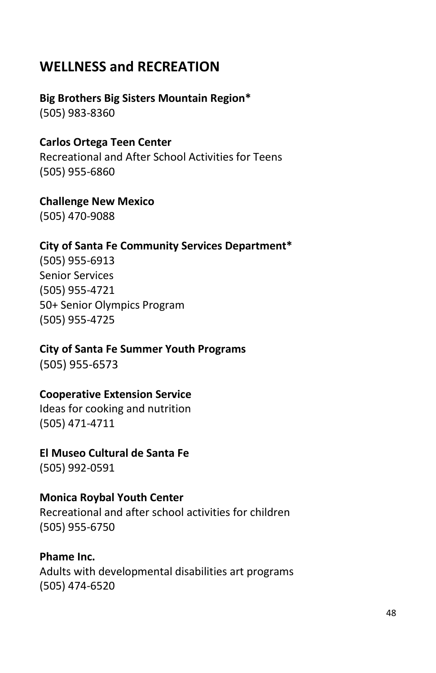## <span id="page-51-0"></span>**WELLNESS and RECREATION**

# **Big Brothers Big Sisters Mountain Region\***

(505) 983-8360

## **Carlos Ortega Teen Center**

Recreational and After School Activities for Teens (505) 955-6860

## **Challenge New Mexico**

(505) 470-9088

## **City of Santa Fe Community Services Department\***

(505) 955-6913 Senior Services (505) 955-4721 50+ Senior Olympics Program (505) 955-4725

## **City of Santa Fe Summer Youth Programs**

(505) 955-6573

## **Cooperative Extension Service**

Ideas for cooking and nutrition (505) 471-4711

## **El Museo Cultural de Santa Fe**

(505) 992-0591

## **Monica Roybal Youth Center**

Recreational and after school activities for children (505) 955-6750

## **Phame Inc.**

Adults with developmental disabilities art programs (505) 474-6520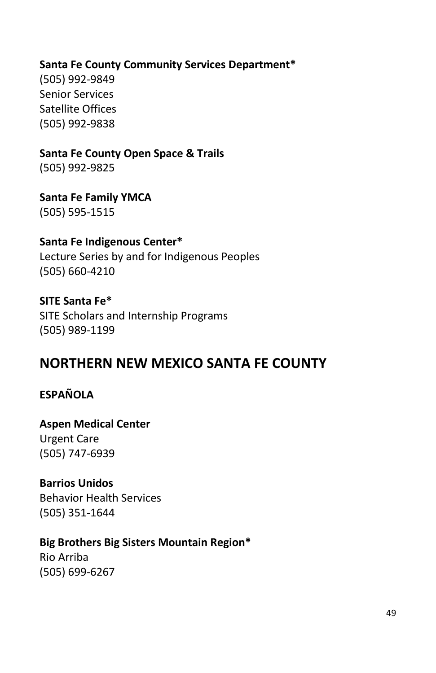## **Santa Fe County Community Services Department\***

(505) 992-9849 Senior Services Satellite Offices (505) 992-9838

## **Santa Fe County Open Space & Trails**

(505) 992-9825

## **Santa Fe Family YMCA** (505) 595-1515

## **Santa Fe Indigenous Center\***

Lecture Series by and for Indigenous Peoples (505) 660-4210

## **SITE Santa Fe\***

SITE Scholars and Internship Programs (505) 989-1199

## <span id="page-52-0"></span>**NORTHERN NEW MEXICO SANTA FE COUNTY**

## **ESPAÑOLA**

## **Aspen Medical Center** Urgent Care (505) 747-6939

## **Barrios Unidos**

Behavior Health Services (505) 351-1644

## **Big Brothers Big Sisters Mountain Region\***

Rio Arriba (505) 699-6267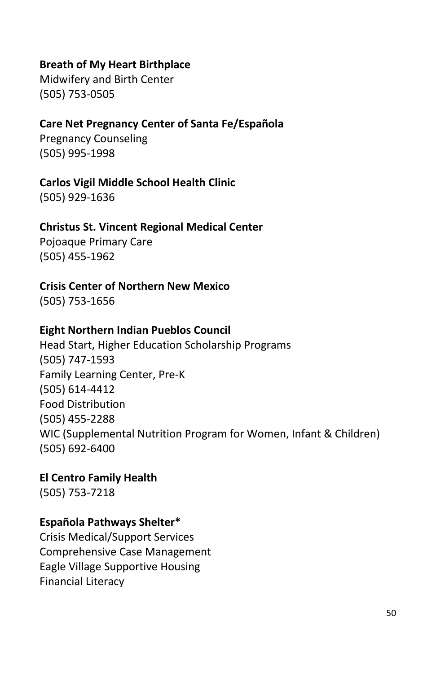## **Breath of My Heart Birthplace**

Midwifery and Birth Center (505) 753-0505

## **Care Net Pregnancy Center of Santa Fe/Española**

Pregnancy Counseling (505) 995-1998

## **Carlos Vigil Middle School Health Clinic**

(505) 929-1636

## **Christus St. Vincent Regional Medical Center**

Pojoaque Primary Care (505) 455-1962

#### **Crisis Center of Northern New Mexico**

(505) 753-1656

## **Eight Northern Indian Pueblos Council**

Head Start, Higher Education Scholarship Programs (505) 747-1593 Family Learning Center, Pre-K (505) 614-4412 Food Distribution (505) 455-2288 WIC (Supplemental Nutrition Program for Women, Infant & Children) (505) 692-6400

## **El Centro Family Health**

(505) 753-7218

## **Española Pathways Shelter\***

Crisis Medical/Support Services Comprehensive Case Management Eagle Village Supportive Housing Financial Literacy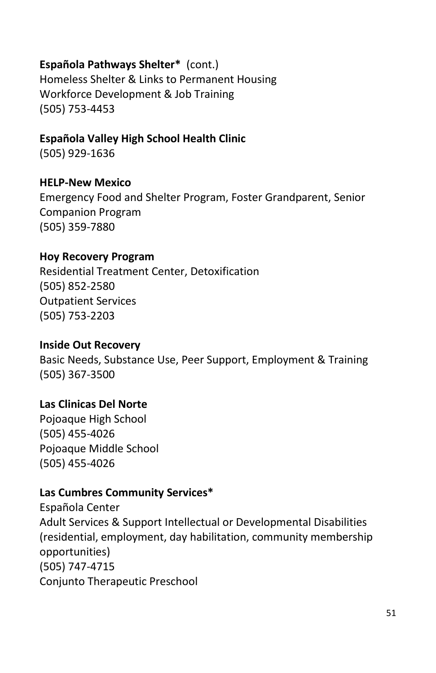## **Española Pathways Shelter\*** (cont.)

Homeless Shelter & Links to Permanent Housing Workforce Development & Job Training (505) 753-4453

## **Española Valley High School Health Clinic**

(505) 929-1636

#### **HELP-New Mexico**

Emergency Food and Shelter Program, Foster Grandparent, Senior Companion Program [\(505\) 359-7880](https://www.google.com/search?client=firefox-b-1-d&ei=NfsPXebpCJS0tQbOnqTIAQ&q=HELP+espanola&oq=HELP+espanola&gs_l=psy-ab.3..0i22i30l5.5218607.5220742..5221219...0.0..0.200.1727.0j12j1......0....1..gws-wiz.......0i71j0i67j0j0i131j35i39j0i131i67j0i10j0i22i10i30.eY3DfZfIjyQ)

#### **Hoy Recovery Program**

Residential Treatment Center, Detoxification (505) 852-2580 Outpatient Services (505) 753-2203

#### **Inside Out Recovery**

Basic Needs, Substance Use, Peer Support, Employment & Training (505) 367-3500

## **Las Clinicas Del Norte**

Pojoaque High School (505) 455-4026 Pojoaque Middle School (505) 455-4026

## **Las Cumbres Community Services\***

Española Center Adult Services & Support Intellectual or Developmental Disabilities (residential, employment, day habilitation, community membership opportunities) (505) 747-4715 Conjunto Therapeutic Preschool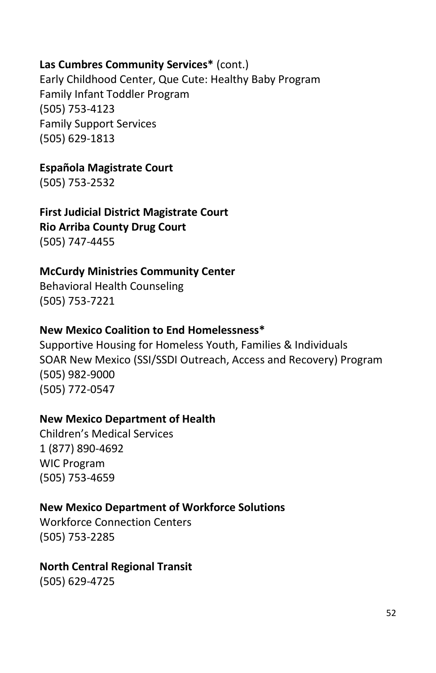## **Las Cumbres Community Services\*** (cont.)

Early Childhood Center, Que Cute: Healthy Baby Program Family Infant Toddler Program (505) 753-4123 Family Support Services (505) 629-1813

## **Española Magistrate Court**

(505) 753-2532

**First Judicial District Magistrate Court Rio Arriba County Drug Court** (505) 747-4455

## **McCurdy Ministries Community Center**

Behavioral Health Counseling (505) 753-7221

## **New Mexico Coalition to End Homelessness\***

Supportive Housing for Homeless Youth, Families & Individuals SOAR New Mexico (SSI/SSDI Outreach, Access and Recovery) Program (505) 982-9000 (505) 772-0547

## **New Mexico Department of Health**

Children's Medical Services 1 (877) 890-4692 WIC Program (505) 753-4659

## **New Mexico Department of Workforce Solutions**

Workforce Connection Centers (505) 753-2285

## **North Central Regional Transit**

(505) 629-4725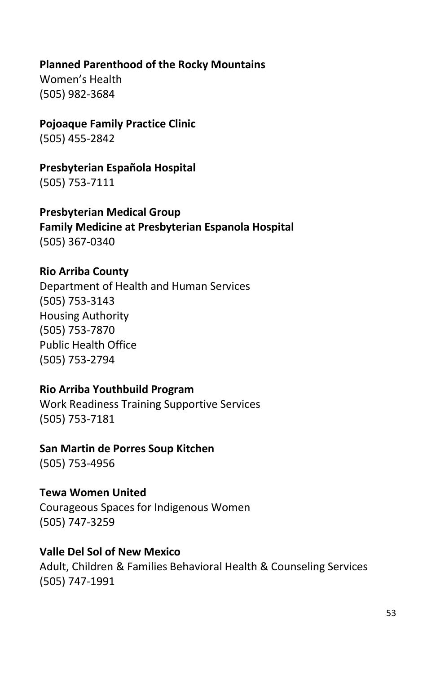## **Planned Parenthood of the Rocky Mountains**

Women's Health (505) 982-3684

# **Pojoaque Family Practice Clinic**

(505) 455-2842

# **Presbyterian Española Hospital**

(505) 753-7111

## **Presbyterian Medical Group Family Medicine at Presbyterian Espanola Hospital** (505) 367-0340

## **Rio Arriba County**

Department of Health and Human Services (505) 753-3143 Housing Authority (505) 753-7870 Public Health Office (505) 753-2794

## **Rio Arriba Youthbuild Program**

Work Readiness Training Supportive Services (505) 753-7181

## **San Martin de Porres Soup Kitchen**

(505) 753-4956

## **Tewa Women United**

Courageous Spaces for Indigenous Women (505) 747-3259

## **Valle Del Sol of New Mexico**

Adult, Children & Families Behavioral Health & Counseling Services (505) 747-1991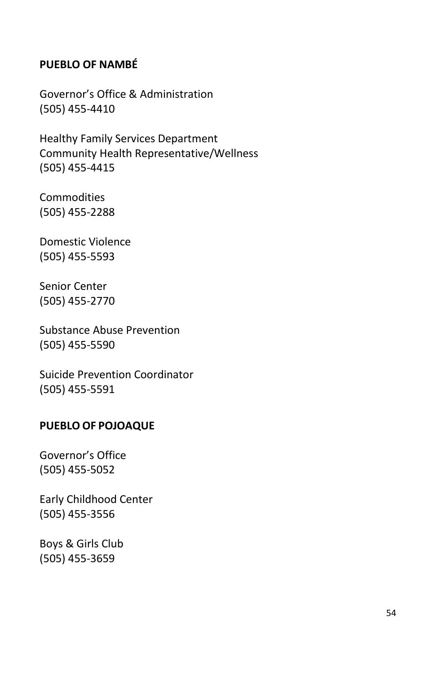## **PUEBLO OF NAMBÉ**

Governor's Office & Administration (505) 455-4410

Healthy Family Services Department Community Health Representative/Wellness (505) 455-4415

Commodities (505) 455-2288

Domestic Violence (505) 455-5593

Senior Center (505) 455-2770

Substance Abuse Prevention (505) 455-5590

Suicide Prevention Coordinator (505) 455-5591

#### **PUEBLO OF POJOAQUE**

Governor's Office (505) 455-5052

Early Childhood Center (505) 455-3556

Boys & Girls Club (505) 455-3659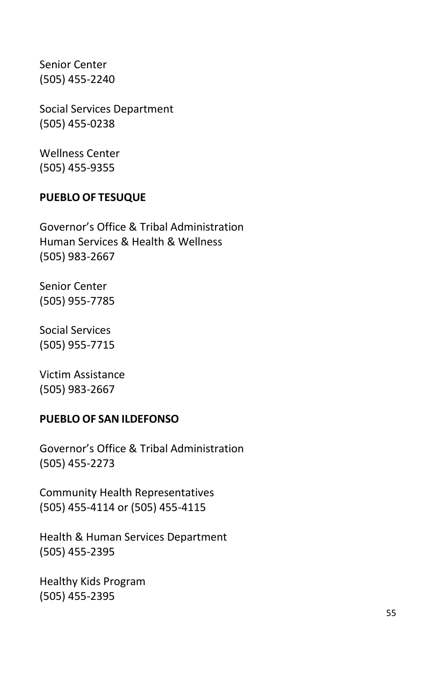Senior Center (505) 455-2240

Social Services Department (505) 455-0238

Wellness Center (505) 455-9355

#### **PUEBLO OF TESUQUE**

Governor's Office & Tribal Administration Human Services & Health & Wellness (505) 983-2667

Senior Center (505) 955-7785

Social Services (505) 955-7715

Victim Assistance (505) 983-2667

#### **PUEBLO OF SAN ILDEFONSO**

Governor's Office & Tribal Administration (505) 455-2273

Community Health Representatives (505) 455-4114 or (505) 455-4115

Health & Human Services Department (505) 455-2395

Healthy Kids Program (505) 455-2395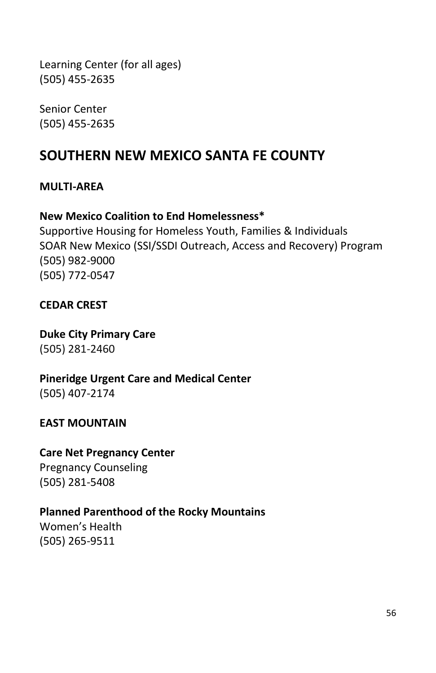<span id="page-59-0"></span>Learning Center (for all ages) (505) 455-2635

Senior Center (505) 455-2635

## **SOUTHERN NEW MEXICO SANTA FE COUNTY**

#### **MULTI-AREA**

#### **New Mexico Coalition to End Homelessness\***

Supportive Housing for Homeless Youth, Families & Individuals SOAR New Mexico (SSI/SSDI Outreach, Access and Recovery) Program (505) 982-9000 (505) 772-0547

## **CEDAR CREST**

**Duke City Primary Care** [\(505\) 281-2460](tel:+15052812460)

**Pineridge Urgent Care and Medical Center** (505) 407-2174

## **EAST MOUNTAIN**

## **Care Net Pregnancy Center**

Pregnancy Counseling (505) 281-5408

## **Planned Parenthood of the Rocky Mountains**

Women's Health (505) 265-9511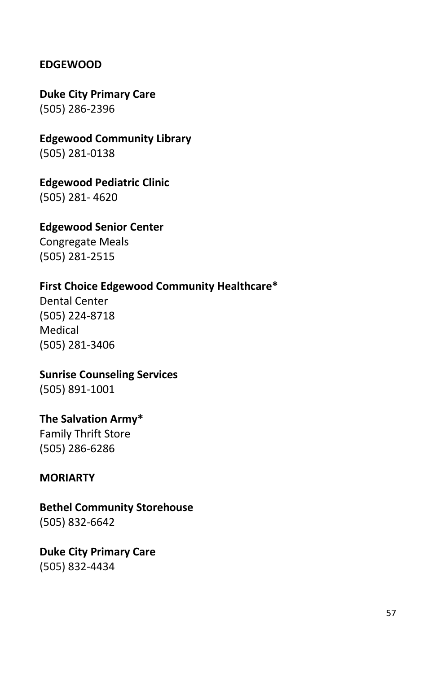## **EDGEWOOD**

**Duke City Primary Care**  [\(505\) 286-2396](tel:+15052862396)

**Edgewood Community Library** (505) 281-0138

**Edgewood Pediatric Clinic**

(505) 281- 4620

#### **Edgewood Senior Center**

Congregate Meals (505) 281-2515

## **First Choice Edgewood Community Healthcare\***

Dental Center (505) 224-8718 Medical (505) 281-3406

#### **Sunrise Counseling Services**

(505) 891-1001

## **The Salvation Army\***

Family Thrift Store (505) 286-6286

#### **MORIARTY**

#### **Bethel Community Storehouse** (505) 832-6642

**Duke City Primary Care**  [\(505\) 832-4434](tel:+15058324434)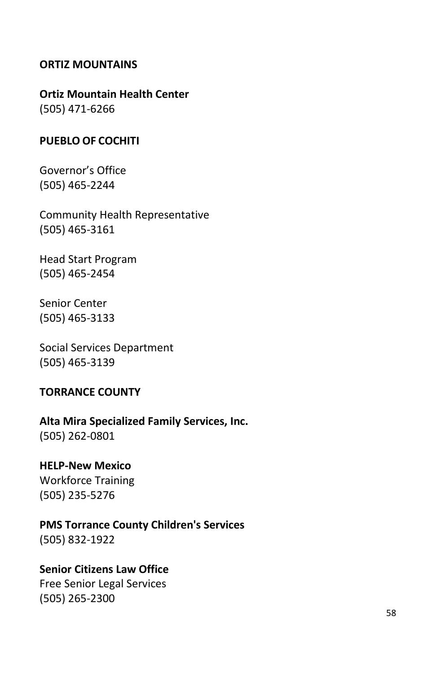#### **ORTIZ MOUNTAINS**

## **Ortiz Mountain Health Center**

(505) 471-6266

#### **PUEBLO OF COCHITI**

Governor's Office [\(505\) 465-2244](https://www.google.com/search?rlz=1C1CHFX_enUS702US702&ei=e98UXfSNIcyt0PEPhqGO-AY&q=cochiti+pueblo+governor%27s+office&oq=cochiti+pueblo+Gover&gs_l=psy-ab.1.1.0l2j0i22i30.11602.34958..37996...11.0..3.473.7162.0j22j11j2j1......0....1..gws-wiz.....0..0i71j0i67j0i131j0i10j0i22i10i30j0i13.BXbDptmbiqA)

Community Health Representative (505) 465-3161

Head Start Program (505) 465-2454

Senior Center (505) 465-3133

Social Services Department (505) 465-3139

#### **TORRANCE COUNTY**

**Alta Mira Specialized Family Services, Inc.** (505) 262-0801

## **HELP-New Mexico**

Workforce Training (505) 235-5276

**PMS Torrance County Children's Services** (505) 832-1922

## **Senior Citizens Law Office**

Free Senior Legal Services (505) 265-2300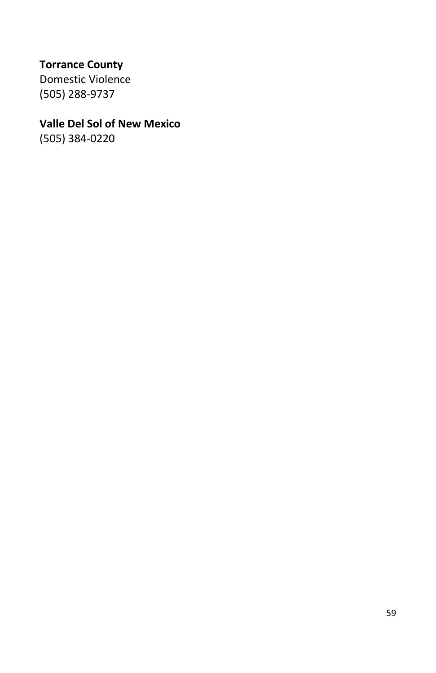## **Torrance County**

Domestic Violence (505) 288-9737

## **Valle Del Sol of New Mexico**

(505) 384-0220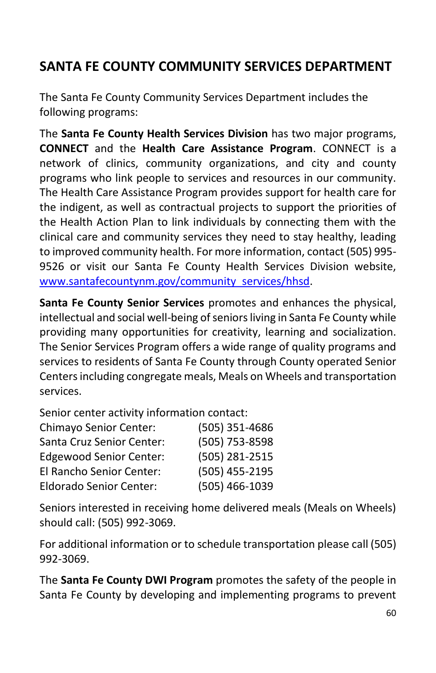## <span id="page-63-0"></span>**SANTA FE COUNTY COMMUNITY SERVICES DEPARTMENT**

The Santa Fe County Community Services Department includes the following programs:

The **Santa Fe County Health Services Division** has two major programs, **CONNECT** and the **Health Care Assistance Program**. CONNECT is a network of clinics, community organizations, and city and county programs who link people to services and resources in our community. The Health Care Assistance Program provides support for health care for the indigent, as well as contractual projects to support the priorities of the Health Action Plan to link individuals by connecting them with the clinical care and community services they need to stay healthy, leading to improved community health. For more information, contact (505) 995- 9526 or visit our Santa Fe County Health Services Division website, [www.santafecountynm.gov/community\\_services/hhsd.](http://www.santafecountynm.gov/community_services/hhsd)

**Santa Fe County Senior Services** promotes and enhances the physical, intellectual and social well-being of seniors living in Santa Fe County while providing many opportunities for creativity, learning and socialization. The Senior Services Program offers a wide range of quality programs and services to residents of Santa Fe County through County operated Senior Centers including congregate meals, Meals on Wheels and transportation services.

Senior center activity information contact:

| Chimayo Senior Center:         | (505) 351-4686 |
|--------------------------------|----------------|
| Santa Cruz Senior Center:      | (505) 753-8598 |
| <b>Edgewood Senior Center:</b> | (505) 281-2515 |
| El Rancho Senior Center:       | (505) 455-2195 |
| Eldorado Senior Center:        | (505) 466-1039 |

Seniors interested in receiving home delivered meals (Meals on Wheels) should call: (505) 992-3069.

For additional information or to schedule transportation please call (505) 992-3069.

The **Santa Fe County DWI Program** promotes the safety of the people in Santa Fe County by developing and implementing programs to prevent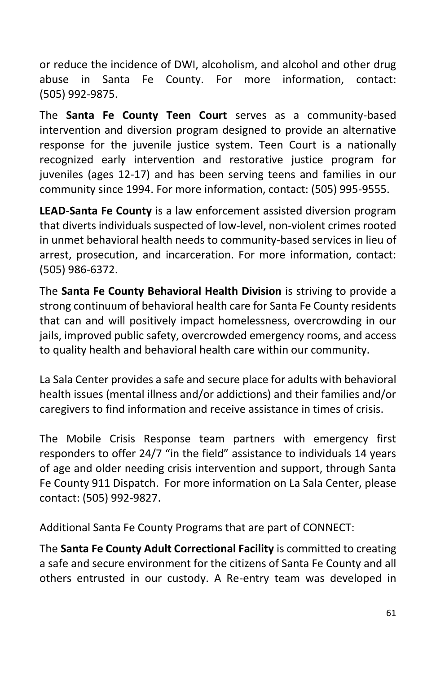or reduce the incidence of DWI, alcoholism, and alcohol and other drug abuse in Santa Fe County. For more information, contact: (505) 992-9875.

The **Santa Fe County Teen Court** serves as a community-based intervention and diversion program designed to provide an alternative response for the juvenile justice system. Teen Court is a nationally recognized early intervention and restorative justice program for juveniles (ages 12-17) and has been serving teens and families in our community since 1994. For more information, contact: (505) 995-9555.

**LEAD-Santa Fe County** is a law enforcement assisted diversion program that diverts individuals suspected of low-level, non-violent crimes rooted in unmet behavioral health needs to community-based services in lieu of arrest, prosecution, and incarceration. For more information, contact: (505) 986-6372.

The **Santa Fe County Behavioral Health Division** is striving to provide a strong continuum of behavioral health care for Santa Fe County residents that can and will positively impact homelessness, overcrowding in our jails, improved public safety, overcrowded emergency rooms, and access to quality health and behavioral health care within our community.

La Sala Center provides a safe and secure place for adults with behavioral health issues (mental illness and/or addictions) and their families and/or caregivers to find information and receive assistance in times of crisis.

The Mobile Crisis Response team partners with emergency first responders to offer 24/7 "in the field" assistance to individuals 14 years of age and older needing crisis intervention and support, through Santa Fe County 911 Dispatch. For more information on La Sala Center, please contact: (505) 992-9827.

Additional Santa Fe County Programs that are part of CONNECT:

The **Santa Fe County Adult Correctional Facility** is committed to creating a safe and secure environment for the citizens of Santa Fe County and all others entrusted in our custody. A Re-entry team was developed in